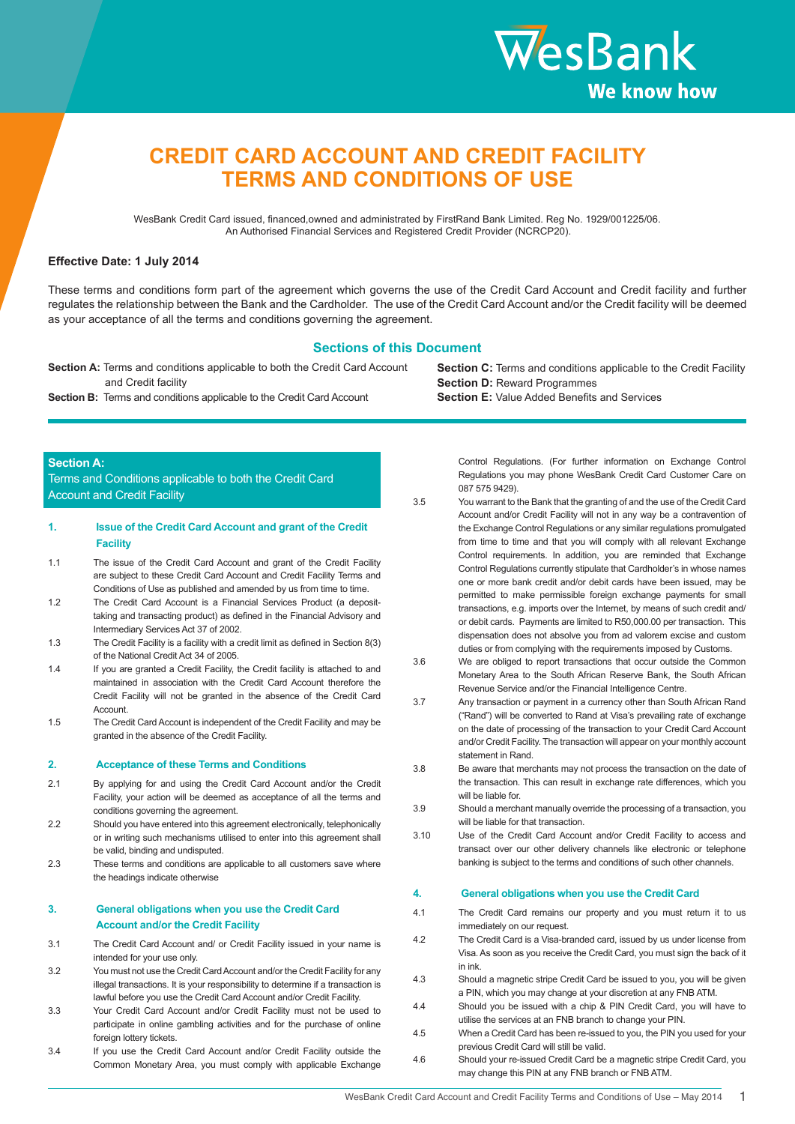

# **CREDIT CARD ACCOUNT AND CREDIT FACILITY TERMS AND CONDITIONS OF USE**

WesBank Credit Card issued, financed,owned and administrated by FirstRand Bank Limited. Reg No. 1929/001225/06. An Authorised Financial Services and Registered Credit Provider (NCRCP20).

### **Effective Date: 1 July 2014**

These terms and conditions form part of the agreement which governs the use of the Credit Card Account and Credit facility and further regulates the relationship between the Bank and the Cardholder. The use of the Credit Card Account and/or the Credit facility will be deemed as your acceptance of all the terms and conditions governing the agreement.

### **Sections of this Document**

**Section A:** Terms and conditions applicable to both the Credit Card Account and Credit facility

**Section B:** Terms and conditions applicable to the Credit Card Account

**Section C:** Terms and conditions applicable to the Credit Facility **Section D: Reward Programmes Section E:** Value Added Benefits and Services

### **Section A:**

Terms and Conditions applicable to both the Credit Card Account and Credit Facility

### **1. Issue of the Credit Card Account and grant of the Credit Facility**

- 1.1 The issue of the Credit Card Account and grant of the Credit Facility are subject to these Credit Card Account and Credit Facility Terms and Conditions of Use as published and amended by us from time to time.
- 1.2 The Credit Card Account is a Financial Services Product (a deposittaking and transacting product) as defined in the Financial Advisory and Intermediary Services Act 37 of 2002.
- 1.3 The Credit Facility is a facility with a credit limit as defined in Section 8(3) of the National Credit Act 34 of 2005.
- 1.4 If you are granted a Credit Facility, the Credit facility is attached to and maintained in association with the Credit Card Account therefore the Credit Facility will not be granted in the absence of the Credit Card **Account**
- 1.5 The Credit Card Account is independent of the Credit Facility and may be granted in the absence of the Credit Facility.

#### **2. Acceptance of these Terms and Conditions**

- 2.1 By applying for and using the Credit Card Account and/or the Credit Facility, your action will be deemed as acceptance of all the terms and conditions governing the agreement.
- 2.2 Should you have entered into this agreement electronically, telephonically or in writing such mechanisms utilised to enter into this agreement shall be valid, binding and undisputed.
- 2.3 These terms and conditions are applicable to all customers save where the headings indicate otherwise

### **3. General obligations when you use the Credit Card Account and/or the Credit Facility**

- 3.1 The Credit Card Account and/ or Credit Facility issued in your name is intended for your use only.
- 3.2 You must not use the Credit Card Account and/or the Credit Facility for any illegal transactions. It is your responsibility to determine if a transaction is lawful before you use the Credit Card Account and/or Credit Facility.
- 3.3 Your Credit Card Account and/or Credit Facility must not be used to participate in online gambling activities and for the purchase of online foreign lottery tickets.
- 3.4 If you use the Credit Card Account and/or Credit Facility outside the Common Monetary Area, you must comply with applicable Exchange

Control Regulations. (For further information on Exchange Control Regulations you may phone WesBank Credit Card Customer Care on 087 575 9429).

- 3.5 You warrant to the Bank that the granting of and the use of the Credit Card Account and/or Credit Facility will not in any way be a contravention of the Exchange Control Regulations or any similar regulations promulgated from time to time and that you will comply with all relevant Exchange Control requirements. In addition, you are reminded that Exchange Control Regulations currently stipulate that Cardholder's in whose names one or more bank credit and/or debit cards have been issued, may be permitted to make permissible foreign exchange payments for small transactions, e.g. imports over the Internet, by means of such credit and/ or debit cards. Payments are limited to R50,000.00 per transaction. This dispensation does not absolve you from ad valorem excise and custom duties or from complying with the requirements imposed by Customs.
- 3.6 We are obliged to report transactions that occur outside the Common Monetary Area to the South African Reserve Bank, the South African Revenue Service and/or the Financial Intelligence Centre.
- 3.7 Any transaction or payment in a currency other than South African Rand ("Rand") will be converted to Rand at Visa's prevailing rate of exchange on the date of processing of the transaction to your Credit Card Account and/or Credit Facility. The transaction will appear on your monthly account statement in Rand.
- 3.8 Be aware that merchants may not process the transaction on the date of the transaction. This can result in exchange rate differences, which you will be liable for.
- 3.9 Should a merchant manually override the processing of a transaction, you will be liable for that transaction.
- 3.10 Use of the Credit Card Account and/or Credit Facility to access and transact over our other delivery channels like electronic or telephone banking is subject to the terms and conditions of such other channels.

#### **4. General obligations when you use the Credit Card**

- 4.1 The Credit Card remains our property and you must return it to us immediately on our request.
- 4.2 The Credit Card is a Visa-branded card, issued by us under license from Visa. As soon as you receive the Credit Card, you must sign the back of it in ink.
- 4.3 Should a magnetic stripe Credit Card be issued to you, you will be given a PIN, which you may change at your discretion at any FNB ATM.
- 4.4 Should you be issued with a chip & PIN Credit Card, you will have to utilise the services at an FNB branch to change your PIN.
- 4.5 When a Credit Card has been re-issued to you, the PIN you used for your previous Credit Card will still be valid.
- 4.6 Should your re-issued Credit Card be a magnetic stripe Credit Card, you may change this PIN at any FNB branch or FNB ATM.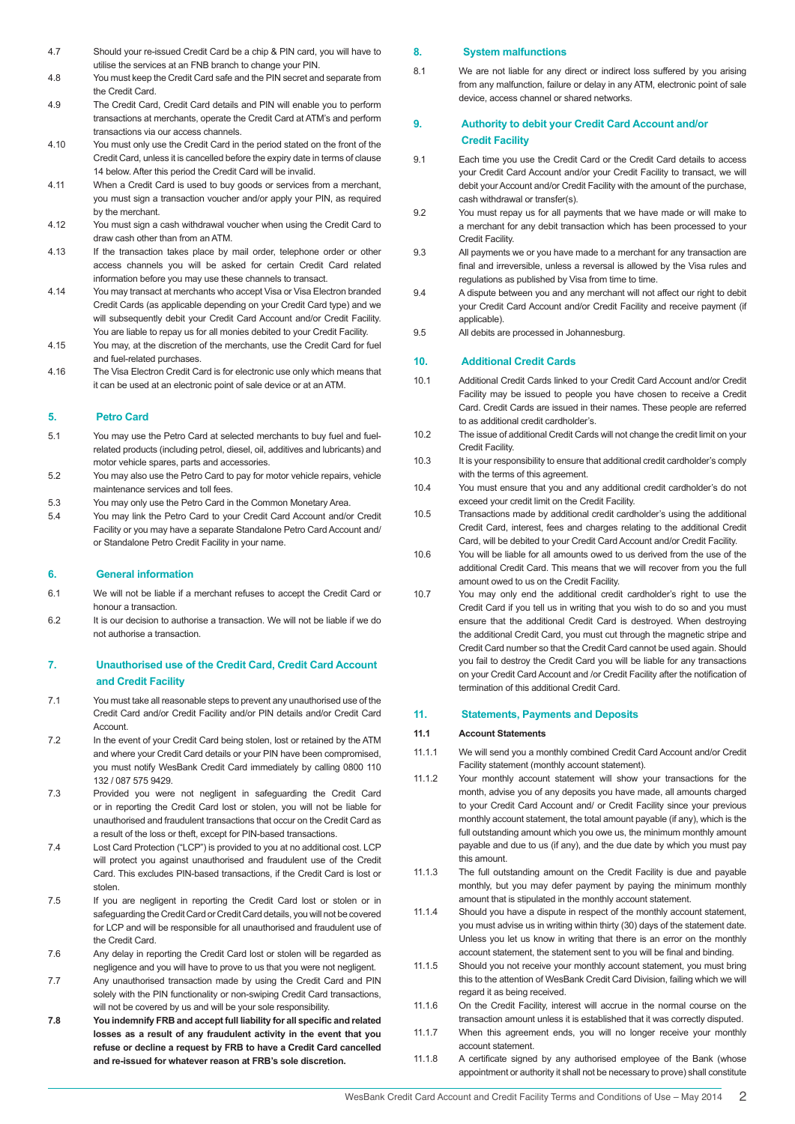- 4.7 Should your re-issued Credit Card be a chip & PIN card, you will have to utilise the services at an FNB branch to change your PIN.
- 4.8 You must keep the Credit Card safe and the PIN secret and separate from the Credit Card.
- 4.9 The Credit Card, Credit Card details and PIN will enable you to perform transactions at merchants, operate the Credit Card at ATM's and perform transactions via our access channels.
- 4.10 You must only use the Credit Card in the period stated on the front of the Credit Card, unless it is cancelled before the expiry date in terms of clause 14 below. After this period the Credit Card will be invalid.
- 4.11 When a Credit Card is used to buy goods or services from a merchant, you must sign a transaction voucher and/or apply your PIN, as required by the merchant.
- 4.12 You must sign a cash withdrawal voucher when using the Credit Card to draw cash other than from an ATM.
- 4.13 If the transaction takes place by mail order, telephone order or other access channels you will be asked for certain Credit Card related information before you may use these channels to transact.
- 4.14 You may transact at merchants who accept Visa or Visa Electron branded Credit Cards (as applicable depending on your Credit Card type) and we will subsequently debit your Credit Card Account and/or Credit Facility. You are liable to repay us for all monies debited to your Credit Facility.
- 4.15 You may, at the discretion of the merchants, use the Credit Card for fuel and fuel-related purchases.
- 4.16 The Visa Electron Credit Card is for electronic use only which means that it can be used at an electronic point of sale device or at an ATM.

### **5. Petro Card**

- 5.1 You may use the Petro Card at selected merchants to buy fuel and fuelrelated products (including petrol, diesel, oil, additives and lubricants) and motor vehicle spares, parts and accessories.
- 5.2 You may also use the Petro Card to pay for motor vehicle repairs, vehicle maintenance services and toll fees.
- 5.3 You may only use the Petro Card in the Common Monetary Area.
- 5.4 You may link the Petro Card to your Credit Card Account and/or Credit Facility or you may have a separate Standalone Petro Card Account and/ or Standalone Petro Credit Facility in your name.

### **6. General information**

- 6.1 We will not be liable if a merchant refuses to accept the Credit Card or honour a transaction.
- 6.2 It is our decision to authorise a transaction. We will not be liable if we do not authorise a transaction.

### **7. Unauthorised use of the Credit Card, Credit Card Account and Credit Facility**

- 7.1 You must take all reasonable steps to prevent any unauthorised use of the Credit Card and/or Credit Facility and/or PIN details and/or Credit Card **Account**
- 7.2 In the event of your Credit Card being stolen, lost or retained by the ATM and where your Credit Card details or your PIN have been compromised, you must notify WesBank Credit Card immediately by calling 0800 110 132 / 087 575 9429.
- 7.3 Provided you were not negligent in safeguarding the Credit Card or in reporting the Credit Card lost or stolen, you will not be liable for unauthorised and fraudulent transactions that occur on the Credit Card as a result of the loss or theft, except for PIN-based transactions.
- 7.4 Lost Card Protection ("LCP") is provided to you at no additional cost. LCP will protect you against unauthorised and fraudulent use of the Credit Card. This excludes PIN-based transactions, if the Credit Card is lost or stolen.
- 7.5 If you are negligent in reporting the Credit Card lost or stolen or in safeguarding the Credit Card or Credit Card details, you will not be covered for LCP and will be responsible for all unauthorised and fraudulent use of the Credit Card.
- 7.6 Any delay in reporting the Credit Card lost or stolen will be regarded as negligence and you will have to prove to us that you were not negligent.
- 7.7 Any unauthorised transaction made by using the Credit Card and PIN solely with the PIN functionality or non-swiping Credit Card transactions, will not be covered by us and will be your sole responsibility.
- **7.8 You indemnify FRB and accept full liability for all specific and related losses as a result of any fraudulent activity in the event that you refuse or decline a request by FRB to have a Credit Card cancelled and re-issued for whatever reason at FRB's sole discretion.**

### **8. System malfunctions**

8.1 We are not liable for any direct or indirect loss suffered by you arising from any malfunction, failure or delay in any ATM, electronic point of sale device, access channel or shared networks.

### **9. Authority to debit your Credit Card Account and/or Credit Facility**

- 9.1 Each time you use the Credit Card or the Credit Card details to access your Credit Card Account and/or your Credit Facility to transact, we will debit your Account and/or Credit Facility with the amount of the purchase, cash withdrawal or transfer(s).
- 9.2 You must repay us for all payments that we have made or will make to a merchant for any debit transaction which has been processed to your Credit Facility.
- 9.3 All payments we or you have made to a merchant for any transaction are final and irreversible, unless a reversal is allowed by the Visa rules and regulations as published by Visa from time to time.
- 9.4 A dispute between you and any merchant will not affect our right to debit your Credit Card Account and/or Credit Facility and receive payment (if applicable).
- 9.5 All debits are processed in Johannesburg.

### **10. Additional Credit Cards**

- 10.1 Additional Credit Cards linked to your Credit Card Account and/or Credit Facility may be issued to people you have chosen to receive a Credit Card. Credit Cards are issued in their names. These people are referred to as additional credit cardholder's.
- 10.2 The issue of additional Credit Cards will not change the credit limit on your Credit Facility.
- 10.3 It is your responsibility to ensure that additional credit cardholder's comply with the terms of this agreement.
- 10.4 You must ensure that you and any additional credit cardholder's do not exceed your credit limit on the Credit Facility.
- 10.5 Transactions made by additional credit cardholder's using the additional Credit Card, interest, fees and charges relating to the additional Credit Card, will be debited to your Credit Card Account and/or Credit Facility.
- 10.6 You will be liable for all amounts owed to us derived from the use of the additional Credit Card. This means that we will recover from you the full amount owed to us on the Credit Facility.
- 10.7 You may only end the additional credit cardholder's right to use the Credit Card if you tell us in writing that you wish to do so and you must ensure that the additional Credit Card is destroyed. When destroying the additional Credit Card, you must cut through the magnetic stripe and Credit Card number so that the Credit Card cannot be used again. Should you fail to destroy the Credit Card you will be liable for any transactions on your Credit Card Account and /or Credit Facility after the notification of termination of this additional Credit Card.

### **11. Statements, Payments and Deposits**

#### **11.1 Account Statements**

- 11.1.1 We will send you a monthly combined Credit Card Account and/or Credit Facility statement (monthly account statement).
- 11.1.2 Your monthly account statement will show your transactions for the month, advise you of any deposits you have made, all amounts charged to your Credit Card Account and/ or Credit Facility since your previous monthly account statement, the total amount payable (if any), which is the full outstanding amount which you owe us, the minimum monthly amount payable and due to us (if any), and the due date by which you must pay this amount.
- 11.1.3 The full outstanding amount on the Credit Facility is due and payable monthly, but you may defer payment by paying the minimum monthly amount that is stipulated in the monthly account statement.
- 11.1.4 Should you have a dispute in respect of the monthly account statement, you must advise us in writing within thirty (30) days of the statement date. Unless you let us know in writing that there is an error on the monthly account statement, the statement sent to you will be final and binding.
- 11.1.5 Should you not receive your monthly account statement, you must bring this to the attention of WesBank Credit Card Division, failing which we will regard it as being received.
- 11.1.6 On the Credit Facility, interest will accrue in the normal course on the transaction amount unless it is established that it was correctly disputed.
- 11.1.7 When this agreement ends, you will no longer receive your monthly account statement.
- 11.1.8 A certificate signed by any authorised employee of the Bank (whose appointment or authority it shall not be necessary to prove) shall constitute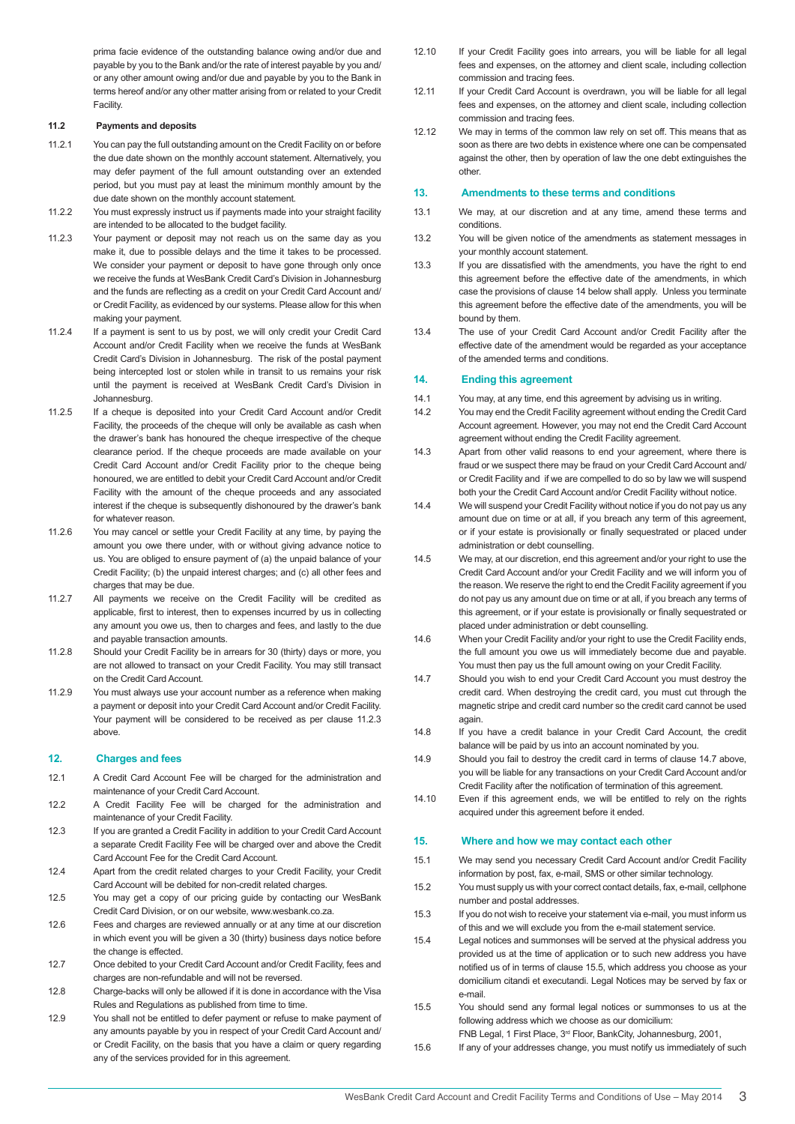prima facie evidence of the outstanding balance owing and/or due and payable by you to the Bank and/or the rate of interest payable by you and/ or any other amount owing and/or due and payable by you to the Bank in terms hereof and/or any other matter arising from or related to your Credit **Facility** 

### **11.2 Payments and deposits**

- 11.2.1 You can pay the full outstanding amount on the Credit Facility on or before the due date shown on the monthly account statement. Alternatively, you may defer payment of the full amount outstanding over an extended period, but you must pay at least the minimum monthly amount by the due date shown on the monthly account statement.
- 11.2.2 You must expressly instruct us if payments made into your straight facility are intended to be allocated to the budget facility.
- 11.2.3 Your payment or deposit may not reach us on the same day as you make it, due to possible delays and the time it takes to be processed. We consider your payment or deposit to have gone through only once we receive the funds at WesBank Credit Card's Division in Johannesburg and the funds are reflecting as a credit on your Credit Card Account and/ or Credit Facility, as evidenced by our systems. Please allow for this when making your payment.
- 11.2.4 If a payment is sent to us by post, we will only credit your Credit Card Account and/or Credit Facility when we receive the funds at WesBank Credit Card's Division in Johannesburg. The risk of the postal payment being intercepted lost or stolen while in transit to us remains your risk until the payment is received at WesBank Credit Card's Division in Johannesburg.
- 11.2.5 If a cheque is deposited into your Credit Card Account and/or Credit Facility, the proceeds of the cheque will only be available as cash when the drawer's bank has honoured the cheque irrespective of the cheque clearance period. If the cheque proceeds are made available on your Credit Card Account and/or Credit Facility prior to the cheque being honoured, we are entitled to debit your Credit Card Account and/or Credit Facility with the amount of the cheque proceeds and any associated interest if the cheque is subsequently dishonoured by the drawer's bank for whatever reason.
- 11.2.6 You may cancel or settle your Credit Facility at any time, by paying the amount you owe there under, with or without giving advance notice to us. You are obliged to ensure payment of (a) the unpaid balance of your Credit Facility; (b) the unpaid interest charges; and (c) all other fees and charges that may be due.
- 11.2.7 All payments we receive on the Credit Facility will be credited as applicable, first to interest, then to expenses incurred by us in collecting any amount you owe us, then to charges and fees, and lastly to the due and payable transaction amounts.
- 11.2.8 Should your Credit Facility be in arrears for 30 (thirty) days or more, you are not allowed to transact on your Credit Facility. You may still transact on the Credit Card Account.
- 11.2.9 You must always use your account number as a reference when making a payment or deposit into your Credit Card Account and/or Credit Facility. Your payment will be considered to be received as per clause 11.2.3 above.

#### **12. Charges and fees**

- 12.1 A Credit Card Account Fee will be charged for the administration and maintenance of your Credit Card Account.
- 12.2 A Credit Facility Fee will be charged for the administration and maintenance of your Credit Facility.
- 12.3 If you are granted a Credit Facility in addition to your Credit Card Account a separate Credit Facility Fee will be charged over and above the Credit Card Account Fee for the Credit Card Account.
- 12.4 Apart from the credit related charges to your Credit Facility, your Credit Card Account will be debited for non-credit related charges.
- 12.5 You may get a copy of our pricing guide by contacting our WesBank Credit Card Division, or on our website, www.wesbank.co.za.
- 12.6 Fees and charges are reviewed annually or at any time at our discretion in which event you will be given a 30 (thirty) business days notice before the change is effected.
- 12.7 Once debited to your Credit Card Account and/or Credit Facility, fees and charges are non-refundable and will not be reversed.
- 12.8 Charge-backs will only be allowed if it is done in accordance with the Visa Rules and Regulations as published from time to time.
- 12.9 You shall not be entitled to defer payment or refuse to make payment of any amounts payable by you in respect of your Credit Card Account and/ or Credit Facility, on the basis that you have a claim or query regarding any of the services provided for in this agreement.
- 12.10 If your Credit Facility goes into arrears, you will be liable for all legal fees and expenses, on the attorney and client scale, including collection commission and tracing fees.
- 12.11 If your Credit Card Account is overdrawn, you will be liable for all legal fees and expenses, on the attorney and client scale, including collection commission and tracing fees.
- 12.12 We may in terms of the common law rely on set off. This means that as soon as there are two debts in existence where one can be compensated against the other, then by operation of law the one debt extinguishes the other.

#### **13. Amendments to these terms and conditions**

- 13.1 We may, at our discretion and at any time, amend these terms and conditions.
- 13.2 You will be given notice of the amendments as statement messages in your monthly account statement.
- 13.3 If you are dissatisfied with the amendments, you have the right to end this agreement before the effective date of the amendments, in which case the provisions of clause 14 below shall apply. Unless you terminate this agreement before the effective date of the amendments, you will be bound by them.
- 13.4 The use of your Credit Card Account and/or Credit Facility after the effective date of the amendment would be regarded as your acceptance of the amended terms and conditions.

#### **14. Ending this agreement**

- 14.1 You may, at any time, end this agreement by advising us in writing.
- 14.2 You may end the Credit Facility agreement without ending the Credit Card Account agreement. However, you may not end the Credit Card Account agreement without ending the Credit Facility agreement.
- 14.3 Apart from other valid reasons to end your agreement, where there is fraud or we suspect there may be fraud on your Credit Card Account and/ or Credit Facility and if we are compelled to do so by law we will suspend both your the Credit Card Account and/or Credit Facility without notice.
- 14.4 We will suspend your Credit Facility without notice if you do not pay us any amount due on time or at all, if you breach any term of this agreement, or if your estate is provisionally or finally sequestrated or placed under administration or debt counselling.
- 14.5 We may, at our discretion, end this agreement and/or your right to use the Credit Card Account and/or your Credit Facility and we will inform you of the reason. We reserve the right to end the Credit Facility agreement if you do not pay us any amount due on time or at all, if you breach any terms of this agreement, or if your estate is provisionally or finally sequestrated or placed under administration or debt counselling.
- 14.6 When your Credit Facility and/or your right to use the Credit Facility ends, the full amount you owe us will immediately become due and payable. You must then pay us the full amount owing on your Credit Facility.
- 14.7 Should you wish to end your Credit Card Account you must destroy the credit card. When destroying the credit card, you must cut through the magnetic stripe and credit card number so the credit card cannot be used again.
- 14.8 If you have a credit balance in your Credit Card Account, the credit balance will be paid by us into an account nominated by you.
- 14.9 Should you fail to destroy the credit card in terms of clause 14.7 above, you will be liable for any transactions on your Credit Card Account and/or Credit Facility after the notification of termination of this agreement.
- 14.10 Even if this agreement ends, we will be entitled to rely on the rights acquired under this agreement before it ended.

### **15. Where and how we may contact each other**

- 15.1 We may send you necessary Credit Card Account and/or Credit Facility information by post, fax, e-mail, SMS or other similar technology.
- 15.2 You must supply us with your correct contact details, fax, e-mail, cellphone number and postal addresses.
- 15.3 If you do not wish to receive your statement via e-mail, you must inform us of this and we will exclude you from the e-mail statement service.
- 15.4 Legal notices and summonses will be served at the physical address you provided us at the time of application or to such new address you have notified us of in terms of clause 15.5, which address you choose as your domicilium citandi et executandi. Legal Notices may be served by fax or e-mail.
- 15.5 You should send any formal legal notices or summonses to us at the following address which we choose as our domicilium:
- FNB Legal, 1 First Place, 3rd Floor, BankCity, Johannesburg, 2001, 15.6 If any of your addresses change, you must notify us immediately of such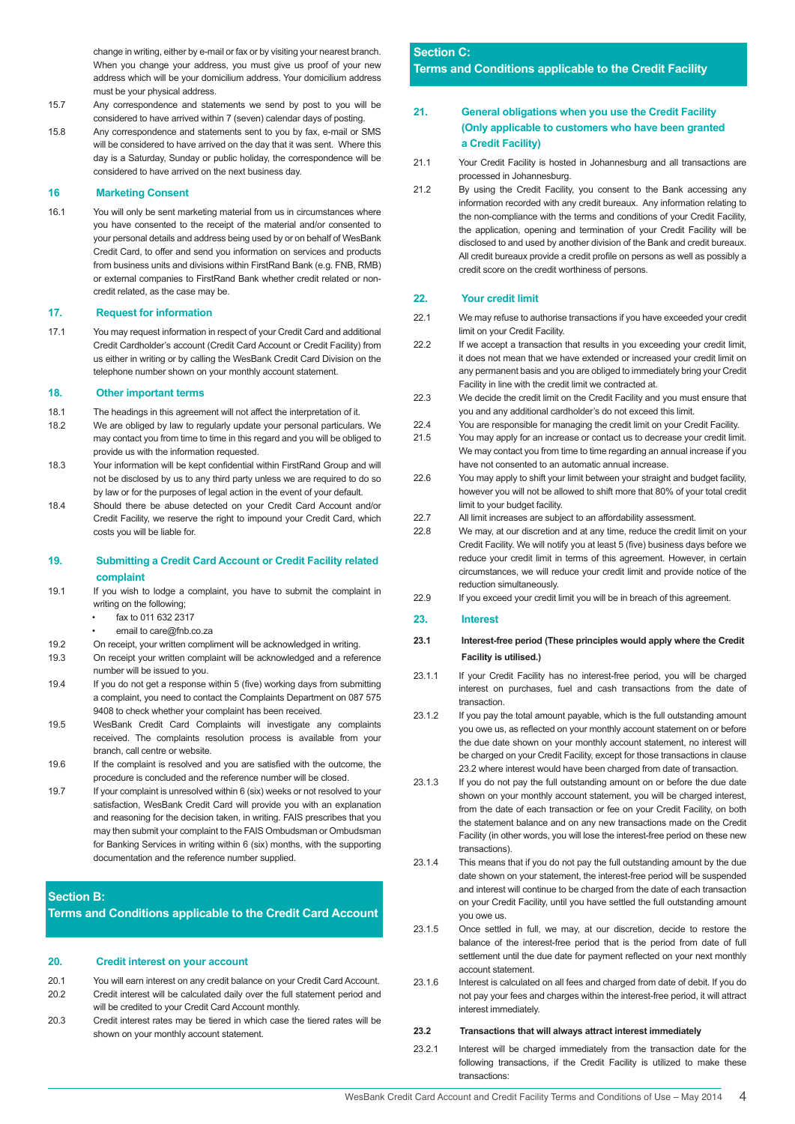change in writing, either by e-mail or fax or by visiting your nearest branch. When you change your address, you must give us proof of your new address which will be your domicilium address. Your domicilium address must be your physical address.

- 15.7 Any correspondence and statements we send by post to you will be considered to have arrived within 7 (seven) calendar days of posting.
- 15.8 Any correspondence and statements sent to you by fax, e-mail or SMS will be considered to have arrived on the day that it was sent. Where this day is a Saturday, Sunday or public holiday, the correspondence will be considered to have arrived on the next business day.

### **16 Marketing Consent**

16.1 You will only be sent marketing material from us in circumstances where you have consented to the receipt of the material and/or consented to your personal details and address being used by or on behalf of WesBank Credit Card, to offer and send you information on services and products from business units and divisions within FirstRand Bank (e.g. FNB, RMB) or external companies to FirstRand Bank whether credit related or noncredit related, as the case may be.

#### **17. Request for information**

17.1 You may request information in respect of your Credit Card and additional Credit Cardholder's account (Credit Card Account or Credit Facility) from us either in writing or by calling the WesBank Credit Card Division on the telephone number shown on your monthly account statement.

#### **18. Other important terms**

- 18.1 The headings in this agreement will not affect the interpretation of it.
- 18.2 We are obliged by law to regularly update your personal particulars. We may contact you from time to time in this regard and you will be obliged to provide us with the information requested.
- 18.3 Your information will be kept confidential within FirstRand Group and will not be disclosed by us to any third party unless we are required to do so by law or for the purposes of legal action in the event of your default.
- 18.4 Should there be abuse detected on your Credit Card Account and/or Credit Facility, we reserve the right to impound your Credit Card, which costs you will be liable for.

### **19. Submitting a Credit Card Account or Credit Facility related complaint**

- 19.1 If you wish to lodge a complaint, you have to submit the complaint in writing on the following;
	- fax to 011 632 2317
	- email to care@fnb.co.za
- 19.2 On receipt, your written compliment will be acknowledged in writing.
- 19.3 On receipt your written complaint will be acknowledged and a reference number will be issued to you.
- 19.4 If you do not get a response within 5 (five) working days from submitting a complaint, you need to contact the Complaints Department on 087 575 9408 to check whether your complaint has been received.
- 19.5 WesBank Credit Card Complaints will investigate any complaints received. The complaints resolution process is available from your branch, call centre or website.
- 19.6 If the complaint is resolved and you are satisfied with the outcome, the procedure is concluded and the reference number will be closed.
- 19.7 If your complaint is unresolved within 6 (six) weeks or not resolved to your satisfaction, WesBank Credit Card will provide you with an explanation and reasoning for the decision taken, in writing. FAIS prescribes that you may then submit your complaint to the FAIS Ombudsman or Ombudsman for Banking Services in writing within 6 (six) months, with the supporting documentation and the reference number supplied.

#### **Section B:**

**Terms and Conditions applicable to the Credit Card Account** 

#### **20. Credit interest on your account**

- 20.1 You will earn interest on any credit balance on your Credit Card Account. 20.2 Credit interest will be calculated daily over the full statement period and
- will be credited to your Credit Card Account monthly.
- 20.3 Credit interest rates may be tiered in which case the tiered rates will be shown on your monthly account statement.

### **Section C: Terms and Conditions applicable to the Credit Facility**

### **21. General obligations when you use the Credit Facility (Only applicable to customers who have been granted a Credit Facility)**

- 21.1 Your Credit Facility is hosted in Johannesburg and all transactions are processed in Johannesburg.
- 21.2 By using the Credit Facility, you consent to the Bank accessing any information recorded with any credit bureaux. Any information relating to the non-compliance with the terms and conditions of your Credit Facility, the application, opening and termination of your Credit Facility will be disclosed to and used by another division of the Bank and credit bureaux. All credit bureaux provide a credit profile on persons as well as possibly a credit score on the credit worthiness of persons.

### **22. Your credit limit**

- 22.1 We may refuse to authorise transactions if you have exceeded your credit limit on your Credit Facility.
- 22.2 If we accept a transaction that results in you exceeding your credit limit, it does not mean that we have extended or increased your credit limit on any permanent basis and you are obliged to immediately bring your Credit Facility in line with the credit limit we contracted at.
- 22.3 We decide the credit limit on the Credit Facility and you must ensure that you and any additional cardholder's do not exceed this limit.
- 22.4 You are responsible for managing the credit limit on your Credit Facility.
- 21.5 You may apply for an increase or contact us to decrease your credit limit. We may contact you from time to time regarding an annual increase if you have not consented to an automatic annual increase.
- 22.6 You may apply to shift your limit between your straight and budget facility, however you will not be allowed to shift more that 80% of your total credit limit to your budget facility.
- 22.7 All limit increases are subject to an affordability assessment.
- 22.8 We may, at our discretion and at any time, reduce the credit limit on your Credit Facility. We will notify you at least 5 (five) business days before we reduce your credit limit in terms of this agreement. However, in certain circumstances, we will reduce your credit limit and provide notice of the reduction simultaneously.
- 22.9 If you exceed your credit limit you will be in breach of this agreement.

### **23. Interest**

### **23.1 Interest-free period (These principles would apply where the Credit Facility is utilised.)**

- 23.1.1 If your Credit Facility has no interest-free period, you will be charged interest on purchases, fuel and cash transactions from the date of transaction.
- 23.1.2 If you pay the total amount payable, which is the full outstanding amount you owe us, as reflected on your monthly account statement on or before the due date shown on your monthly account statement, no interest will be charged on your Credit Facility, except for those transactions in clause 23.2 where interest would have been charged from date of transaction.
- 23.1.3 If you do not pay the full outstanding amount on or before the due date shown on your monthly account statement, you will be charged interest, from the date of each transaction or fee on your Credit Facility, on both the statement balance and on any new transactions made on the Credit Facility (in other words, you will lose the interest-free period on these new transactions).
- 23.1.4 This means that if you do not pay the full outstanding amount by the due date shown on your statement, the interest-free period will be suspended and interest will continue to be charged from the date of each transaction on your Credit Facility, until you have settled the full outstanding amount you owe us.
- 23.1.5 Once settled in full, we may, at our discretion, decide to restore the balance of the interest-free period that is the period from date of full settlement until the due date for payment reflected on your next monthly account statement.
- 23.1.6 Interest is calculated on all fees and charged from date of debit. If you do not pay your fees and charges within the interest-free period, it will attract interest immediately.

#### **23.2 Transactions that will always attract interest immediately**

23.2.1 Interest will be charged immediately from the transaction date for the following transactions, if the Credit Facility is utilized to make these transactions: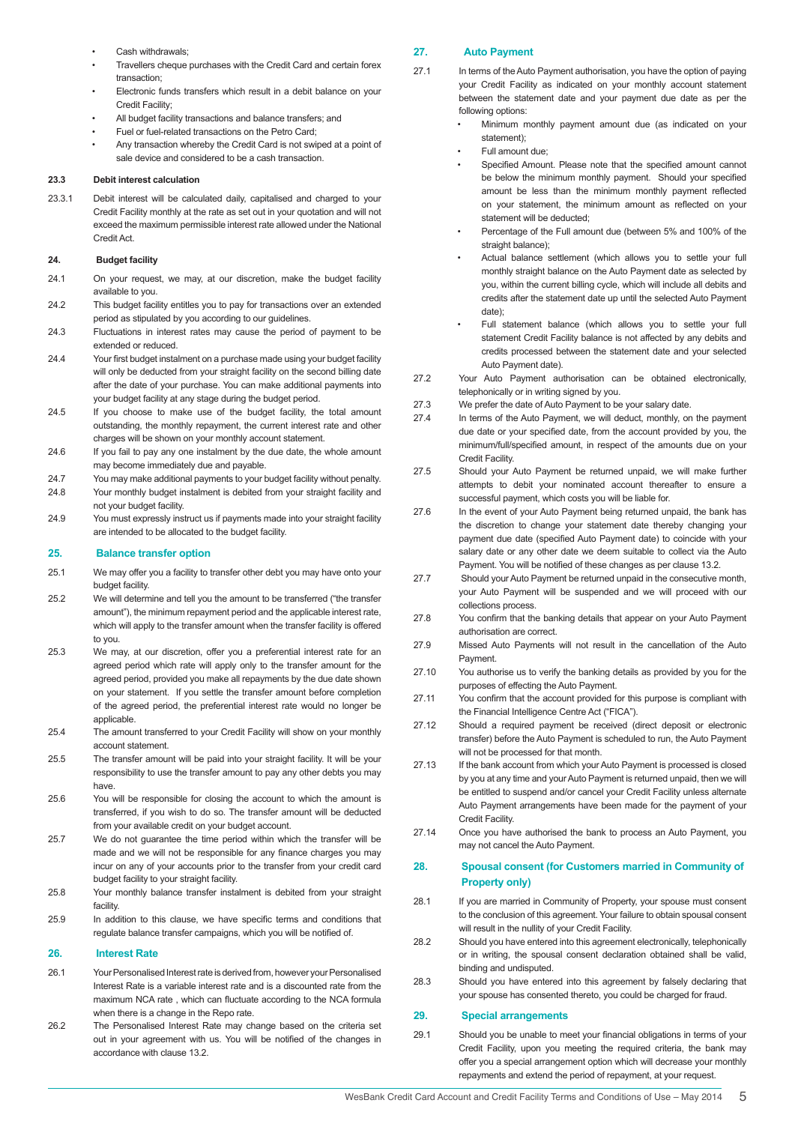- Cash withdrawals:
- Travellers cheque purchases with the Credit Card and certain forex transaction;
- Electronic funds transfers which result in a debit balance on your Credit Facility;
- All budget facility transactions and balance transfers; and
- Fuel or fuel-related transactions on the Petro Card;
- Any transaction whereby the Credit Card is not swiped at a point of sale device and considered to be a cash transaction.

#### **23.3 Debit interest calculation**

23.3.1 Debit interest will be calculated daily, capitalised and charged to your Credit Facility monthly at the rate as set out in your quotation and will not exceed the maximum permissible interest rate allowed under the National Credit Act.

#### **24. Budget facility**

- 24.1 On your request, we may, at our discretion, make the budget facility available to you.
- 24.2 This budget facility entitles you to pay for transactions over an extended period as stipulated by you according to our guidelines.
- 24.3 Fluctuations in interest rates may cause the period of payment to be extended or reduced.
- 24.4 Your first budget instalment on a purchase made using your budget facility will only be deducted from your straight facility on the second billing date after the date of your purchase. You can make additional payments into your budget facility at any stage during the budget period.
- 24.5 If you choose to make use of the budget facility, the total amount outstanding, the monthly repayment, the current interest rate and other charges will be shown on your monthly account statement.
- 24.6 If you fail to pay any one instalment by the due date, the whole amount may become immediately due and payable.
- 24.7 You may make additional payments to your budget facility without penalty.
- 24.8 Your monthly budget instalment is debited from your straight facility and not your budget facility.
- 24.9 You must expressly instruct us if payments made into your straight facility are intended to be allocated to the budget facility.

### **25. Balance transfer option**

- 25.1 We may offer you a facility to transfer other debt you may have onto your budget facility.
- 25.2 We will determine and tell you the amount to be transferred ("the transfer amount"), the minimum repayment period and the applicable interest rate, which will apply to the transfer amount when the transfer facility is offered to you.
- 25.3 We may, at our discretion, offer you a preferential interest rate for an agreed period which rate will apply only to the transfer amount for the agreed period, provided you make all repayments by the due date shown on your statement. If you settle the transfer amount before completion of the agreed period, the preferential interest rate would no longer be applicable.
- 25.4 The amount transferred to your Credit Facility will show on your monthly account statement.
- 25.5 The transfer amount will be paid into your straight facility. It will be your responsibility to use the transfer amount to pay any other debts you may have.
- 25.6 You will be responsible for closing the account to which the amount is transferred, if you wish to do so. The transfer amount will be deducted from your available credit on your budget account.
- 25.7 We do not guarantee the time period within which the transfer will be made and we will not be responsible for any finance charges you may incur on any of your accounts prior to the transfer from your credit card budget facility to your straight facility.
- 25.8 Your monthly balance transfer instalment is debited from your straight facility.
- 25.9 In addition to this clause, we have specific terms and conditions that regulate balance transfer campaigns, which you will be notified of.

#### **26. Interest Rate**

- 26.1 Your Personalised Interest rate is derived from, however your Personalised Interest Rate is a variable interest rate and is a discounted rate from the maximum NCA rate , which can fluctuate according to the NCA formula when there is a change in the Repo rate.
- 26.2 The Personalised Interest Rate may change based on the criteria set out in your agreement with us. You will be notified of the changes in accordance with clause 13.2.

### **27. Auto Payment**

- 27.1 In terms of the Auto Payment authorisation, you have the option of paying your Credit Facility as indicated on your monthly account statement between the statement date and your payment due date as per the following options:
	- Minimum monthly payment amount due (as indicated on your statement);
	- Full amount due;
	- Specified Amount. Please note that the specified amount cannot be below the minimum monthly payment. Should your specified amount be less than the minimum monthly payment reflected on your statement, the minimum amount as reflected on your statement will be deducted;
	- Percentage of the Full amount due (between 5% and 100% of the straight balance);
	- Actual balance settlement (which allows you to settle your full monthly straight balance on the Auto Payment date as selected by you, within the current billing cycle, which will include all debits and credits after the statement date up until the selected Auto Payment date);
	- Full statement balance (which allows you to settle your full statement Credit Facility balance is not affected by any debits and credits processed between the statement date and your selected Auto Payment date).
- 27.2 Your Auto Payment authorisation can be obtained electronically, telephonically or in writing signed by you.
- 27.3 We prefer the date of Auto Payment to be your salary date.
- 27.4 In terms of the Auto Payment, we will deduct, monthly, on the payment due date or your specified date, from the account provided by you, the minimum/full/specified amount, in respect of the amounts due on your Credit Facility.
- 27.5 Should your Auto Payment be returned unpaid, we will make further attempts to debit your nominated account thereafter to ensure a successful payment, which costs you will be liable for.
- 27.6 In the event of your Auto Payment being returned unpaid, the bank has the discretion to change your statement date thereby changing your payment due date (specified Auto Payment date) to coincide with your salary date or any other date we deem suitable to collect via the Auto Payment. You will be notified of these changes as per clause 13.2.
- 27.7 Should your Auto Payment be returned unpaid in the consecutive month your Auto Payment will be suspended and we will proceed with our collections process.
- 27.8 You confirm that the banking details that appear on your Auto Payment authorisation are correct.
- 27.9 Missed Auto Payments will not result in the cancellation of the Auto Payment.
- 27.10 You authorise us to verify the banking details as provided by you for the purposes of effecting the Auto Payment.
- 27.11 You confirm that the account provided for this purpose is compliant with the Financial Intelligence Centre Act ("FICA").
- 27.12 Should a required payment be received (direct deposit or electronic transfer) before the Auto Payment is scheduled to run, the Auto Payment will not be processed for that month.
- 27.13 If the bank account from which your Auto Payment is processed is closed by you at any time and your Auto Payment is returned unpaid, then we will be entitled to suspend and/or cancel your Credit Facility unless alternate Auto Payment arrangements have been made for the payment of your Credit Facility.
- 27.14 Once you have authorised the bank to process an Auto Payment, you may not cancel the Auto Payment.

### **28. Spousal consent (for Customers married in Community of Property only)**

- 28.1 If you are married in Community of Property, your spouse must consent to the conclusion of this agreement. Your failure to obtain spousal consent will result in the nullity of your Credit Facility.
- 28.2 Should you have entered into this agreement electronically, telephonically or in writing, the spousal consent declaration obtained shall be valid, binding and undisputed.
- 28.3 Should you have entered into this agreement by falsely declaring that your spouse has consented thereto, you could be charged for fraud.

### **29. Special arrangements**

29.1 Should you be unable to meet your financial obligations in terms of your Credit Facility, upon you meeting the required criteria, the bank may offer you a special arrangement option which will decrease your monthly repayments and extend the period of repayment, at your request.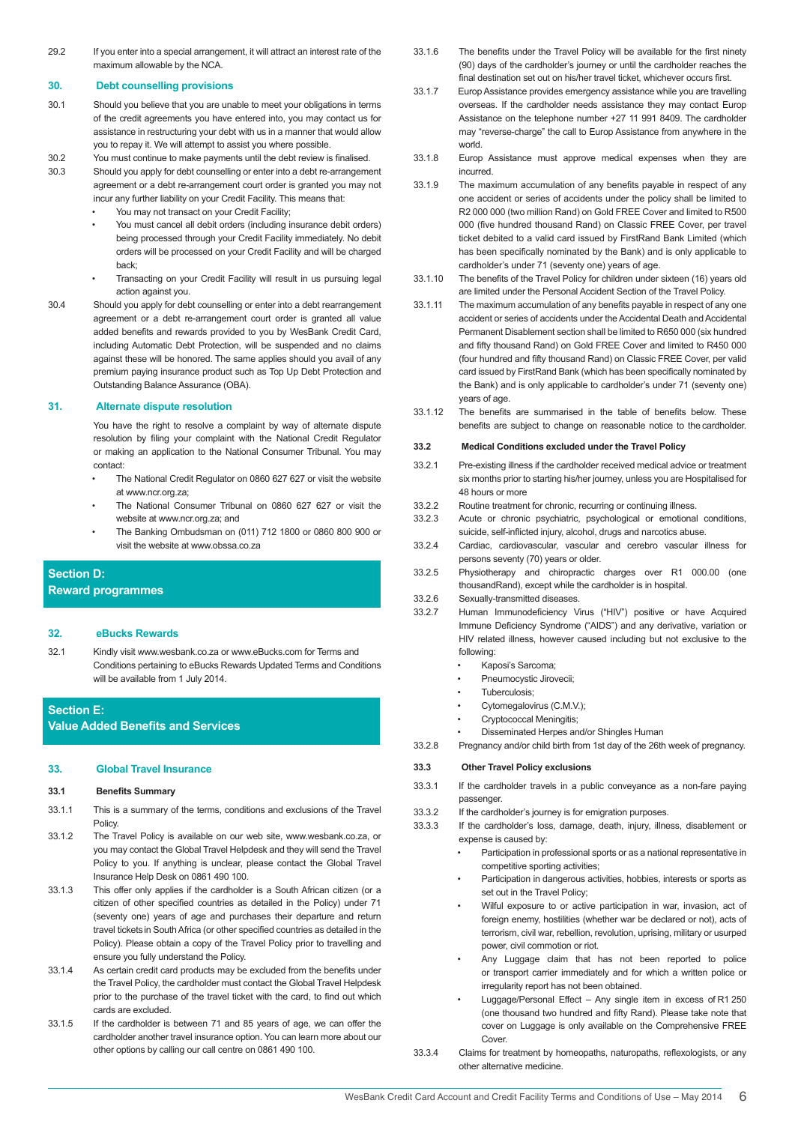29.2 If you enter into a special arrangement, it will attract an interest rate of the maximum allowable by the NCA.

### **30. Debt counselling provisions**

- 30.1 Should you believe that you are unable to meet your obligations in terms of the credit agreements you have entered into, you may contact us for assistance in restructuring your debt with us in a manner that would allow you to repay it. We will attempt to assist you where possible.
- 30.2 You must continue to make payments until the debt review is finalised.
- 30.3 Should you apply for debt counselling or enter into a debt re-arrangement agreement or a debt re-arrangement court order is granted you may not incur any further liability on your Credit Facility. This means that:
	- You may not transact on your Credit Facility;
		- You must cancel all debit orders (including insurance debit orders) being processed through your Credit Facility immediately. No debit orders will be processed on your Credit Facility and will be charged back;
	- Transacting on your Credit Facility will result in us pursuing legal action against you.
- 30.4 Should you apply for debt counselling or enter into a debt rearrangement agreement or a debt re-arrangement court order is granted all value added benefits and rewards provided to you by WesBank Credit Card, including Automatic Debt Protection, will be suspended and no claims against these will be honored. The same applies should you avail of any premium paying insurance product such as Top Up Debt Protection and Outstanding Balance Assurance (OBA).

### **31. Alternate dispute resolution**

You have the right to resolve a complaint by way of alternate dispute resolution by filing your complaint with the National Credit Regulator or making an application to the National Consumer Tribunal. You may contact:

- The National Credit Regulator on 0860 627 627 or visit the website at www.ncr.org.za;
- The National Consumer Tribunal on 0860 627 627 or visit the website at www.ncr.org.za; and
- The Banking Ombudsman on (011) 712 1800 or 0860 800 900 or visit the website at www.obssa.co.za

### **Section D:**

**Reward programmes**

### **32. eBucks Rewards**

- 32.1 Kindly visit www.wesbank.co.za or www.eBucks.com for Terms and Conditions pertaining to eBucks Rewards Updated Terms and Conditions will be available from 1 July 2014.
- **Section E:**

**Value Added Benefits and Services**

### **33. Global Travel Insurance**

### **33.1 Benefits Summary**

- 33.1.1 This is a summary of the terms, conditions and exclusions of the Travel Policy.
- 33.1.2 The Travel Policy is available on our web site, www.wesbank.co.za, or you may contact the Global Travel Helpdesk and they will send the Travel Policy to you. If anything is unclear, please contact the Global Travel Insurance Help Desk on 0861 490 100.
- 33.1.3 This offer only applies if the cardholder is a South African citizen (or a citizen of other specified countries as detailed in the Policy) under 71 (seventy one) years of age and purchases their departure and return travel tickets in South Africa (or other specified countries as detailed in the Policy). Please obtain a copy of the Travel Policy prior to travelling and ensure you fully understand the Policy.
- 33.1.4 As certain credit card products may be excluded from the benefits under the Travel Policy, the cardholder must contact the Global Travel Helpdesk prior to the purchase of the travel ticket with the card, to find out which cards are excluded.
- 33.1.5 If the cardholder is between 71 and 85 years of age, we can offer the cardholder another travel insurance option. You can learn more about our other options by calling our call centre on 0861 490 100.
- 33.1.6 The benefits under the Travel Policy will be available for the first ninety (90) days of the cardholder's journey or until the cardholder reaches the final destination set out on his/her travel ticket, whichever occurs first.
- 33.1.7 Europ Assistance provides emergency assistance while you are travelling overseas. If the cardholder needs assistance they may contact Europ Assistance on the telephone number +27 11 991 8409. The cardholder may "reverse-charge" the call to Europ Assistance from anywhere in the world.
- 33.1.8 Europ Assistance must approve medical expenses when they are incurred.
- 33.1.9 The maximum accumulation of any benefits payable in respect of any one accident or series of accidents under the policy shall be limited to R2 000 000 (two million Rand) on Gold FREE Cover and limited to R500 000 (five hundred thousand Rand) on Classic FREE Cover, per travel ticket debited to a valid card issued by FirstRand Bank Limited (which has been specifically nominated by the Bank) and is only applicable to cardholder's under 71 (seventy one) years of age.
- 33.1.10 The benefits of the Travel Policy for children under sixteen (16) years old are limited under the Personal Accident Section of the Travel Policy.
- 33.1.11 The maximum accumulation of any benefits payable in respect of any one accident or series of accidents under the Accidental Death and Accidental Permanent Disablement section shall be limited to R650 000 (six hundred and fifty thousand Rand) on Gold FREE Cover and limited to R450 000 (four hundred and fifty thousand Rand) on Classic FREE Cover, per valid card issued by FirstRand Bank (which has been specifically nominated by the Bank) and is only applicable to cardholder's under 71 (seventy one) years of age.
- 33.1.12 The benefits are summarised in the table of benefits below. These benefits are subject to change on reasonable notice to the cardholder.

### **33.2 Medical Conditions excluded under the Travel Policy**

- 33.2.1 Pre-existing illness if the cardholder received medical advice or treatment six months prior to starting his/her journey, unless you are Hospitalised for 48 hours or more
- 33.2.2 Routine treatment for chronic, recurring or continuing illness.
- 33.2.3 Acute or chronic psychiatric, psychological or emotional conditions, suicide, self-inflicted injury, alcohol, drugs and narcotics abuse.
- 33.2.4 Cardiac, cardiovascular, vascular and cerebro vascular illness for persons seventy (70) years or older.
- 33.2.5 Physiotherapy and chiropractic charges over R1 000.00 (one thousandRand), except while the cardholder is in hospital.
- 33.2.6 Sexually-transmitted diseases.
- 33.2.7 Human Immunodeficiency Virus ("HIV") positive or have Acquired Immune Deficiency Syndrome ("AIDS") and any derivative, variation or HIV related illness, however caused including but not exclusive to the following:
	- Kaposi's Sarcoma;
	- Pneumocystic Jirovecii;
	- Tuberculosis;
	- Cytomegalovirus (C.M.V.);
	- Cryptococcal Meningitis:
	- Disseminated Herpes and/or Shingles Human
- 33.2.8 Pregnancy and/or child birth from 1st day of the 26th week of pregnancy.

### **33.3 Other Travel Policy exclusions**

- 33.3.1 If the cardholder travels in a public conveyance as a non-fare paying passenger.
- 33.3.2 If the cardholder's journey is for emigration purposes.
- 33.3.3 If the cardholder's loss, damage, death, injury, illness, disablement or expense is caused by:
	- Participation in professional sports or as a national representative in competitive sporting activities;
	- Participation in dangerous activities, hobbies, interests or sports as set out in the Travel Policy:
	- Wilful exposure to or active participation in war, invasion, act of foreign enemy, hostilities (whether war be declared or not), acts of terrorism, civil war, rebellion, revolution, uprising, military or usurped power, civil commotion or riot.
	- Any Luggage claim that has not been reported to police or transport carrier immediately and for which a written police or irregularity report has not been obtained.
	- Luggage/Personal Effect Any single item in excess of R1 250 (one thousand two hundred and fifty Rand). Please take note that cover on Luggage is only available on the Comprehensive FREE Cover
- 33.3.4 Claims for treatment by homeopaths, naturopaths, reflexologists, or any other alternative medicine.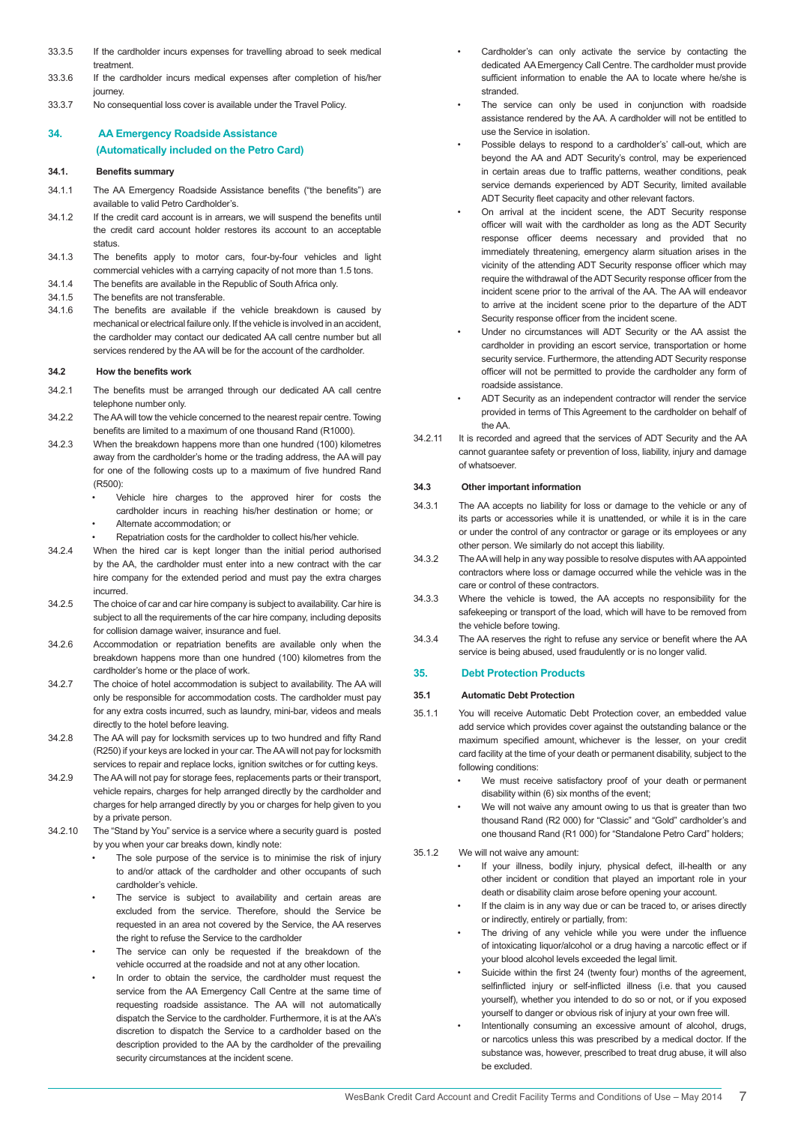- 33.3.5 If the cardholder incurs expenses for travelling abroad to seek medical treatment.
- 33.3.6 If the cardholder incurs medical expenses after completion of his/her journey.
- 33.3.7 No consequential loss cover is available under the Travel Policy.

### **34. AA Emergency Roadside Assistance (Automatically included on the Petro Card)**

#### **34.1. Benefits summary**

- 34.1.1 The AA Emergency Roadside Assistance benefits ("the benefits") are available to valid Petro Cardholder's.
- 34.1.2 If the credit card account is in arrears, we will suspend the benefits until the credit card account holder restores its account to an acceptable status.
- 34.1.3 The benefits apply to motor cars, four-by-four vehicles and light commercial vehicles with a carrying capacity of not more than 1.5 tons.
- 34.1.4 The benefits are available in the Republic of South Africa only.
- 34.1.5 The benefits are not transferable.
- 34.1.6 The benefits are available if the vehicle breakdown is caused by mechanical or electrical failure only. If the vehicle is involved in an accident, the cardholder may contact our dedicated AA call centre number but all services rendered by the AA will be for the account of the cardholder.

### **34.2 How the benefits work**

- 34.2.1 The benefits must be arranged through our dedicated AA call centre telephone number only.
- 34.2.2 The AA will tow the vehicle concerned to the nearest repair centre. Towing benefits are limited to a maximum of one thousand Rand (R1000).
- 34.2.3 When the breakdown happens more than one hundred (100) kilometres away from the cardholder's home or the trading address, the AA will pay for one of the following costs up to a maximum of five hundred Rand (R500):
	- Vehicle hire charges to the approved hirer for costs the cardholder incurs in reaching his/her destination or home; or • Alternate accommodation; or
	- Repatriation costs for the cardholder to collect his/her vehicle.
- 34.2.4 When the hired car is kept longer than the initial period authorised by the AA, the cardholder must enter into a new contract with the car hire company for the extended period and must pay the extra charges incurred.
- 34.2.5 The choice of car and car hire company is subject to availability. Car hire is subject to all the requirements of the car hire company, including deposits for collision damage waiver, insurance and fuel.
- 34.2.6 Accommodation or repatriation benefits are available only when the breakdown happens more than one hundred (100) kilometres from the cardholder's home or the place of work.
- 34.2.7 The choice of hotel accommodation is subject to availability. The AA will only be responsible for accommodation costs. The cardholder must pay for any extra costs incurred, such as laundry, mini-bar, videos and meals directly to the hotel before leaving.
- 34.2.8 The AA will pay for locksmith services up to two hundred and fifty Rand (R250) if your keys are locked in your car. The AA will not pay for locksmith services to repair and replace locks, ignition switches or for cutting keys.
- 34.2.9 The AA will not pay for storage fees, replacements parts or their transport, vehicle repairs, charges for help arranged directly by the cardholder and charges for help arranged directly by you or charges for help given to you by a private person.
- 34.2.10 The "Stand by You" service is a service where a security guard is posted by you when your car breaks down, kindly note:
	- The sole purpose of the service is to minimise the risk of injury to and/or attack of the cardholder and other occupants of such cardholder's vehicle.
	- The service is subject to availability and certain areas are excluded from the service. Therefore, should the Service be requested in an area not covered by the Service, the AA reserves the right to refuse the Service to the cardholder
	- The service can only be requested if the breakdown of the vehicle occurred at the roadside and not at any other location.
	- In order to obtain the service, the cardholder must request the service from the AA Emergency Call Centre at the same time of requesting roadside assistance. The AA will not automatically dispatch the Service to the cardholder. Furthermore, it is at the AA's discretion to dispatch the Service to a cardholder based on the description provided to the AA by the cardholder of the prevailing security circumstances at the incident scene.
- Cardholder's can only activate the service by contacting the dedicated AA Emergency Call Centre. The cardholder must provide sufficient information to enable the AA to locate where he/she is stranded.
- The service can only be used in conjunction with roadside assistance rendered by the AA. A cardholder will not be entitled to use the Service in isolation.
- Possible delays to respond to a cardholder's' call-out, which are beyond the AA and ADT Security's control, may be experienced in certain areas due to traffic patterns, weather conditions, peak service demands experienced by ADT Security, limited available ADT Security fleet capacity and other relevant factors.
- On arrival at the incident scene, the ADT Security response officer will wait with the cardholder as long as the ADT Security response officer deems necessary and provided that no immediately threatening, emergency alarm situation arises in the vicinity of the attending ADT Security response officer which may require the withdrawal of the ADT Security response officer from the incident scene prior to the arrival of the AA. The AA will endeavor to arrive at the incident scene prior to the departure of the ADT Security response officer from the incident scene.
- Under no circumstances will ADT Security or the AA assist the cardholder in providing an escort service, transportation or home security service. Furthermore, the attending ADT Security response officer will not be permitted to provide the cardholder any form of roadside assistance.
- ADT Security as an independent contractor will render the service provided in terms of This Agreement to the cardholder on behalf of the AA.
- 34.2.11 It is recorded and agreed that the services of ADT Security and the AA cannot guarantee safety or prevention of loss, liability, injury and damage of whatsoever.

#### **34.3 Other important information**

- 34.3.1 The AA accepts no liability for loss or damage to the vehicle or any of its parts or accessories while it is unattended, or while it is in the care or under the control of any contractor or garage or its employees or any other person. We similarly do not accept this liability.
- 34.3.2 The AA will help in any way possible to resolve disputes with AA appointed contractors where loss or damage occurred while the vehicle was in the care or control of these contractors.
- 34.3.3 Where the vehicle is towed, the AA accepts no responsibility for the safekeeping or transport of the load, which will have to be removed from the vehicle before towing.
- 34.3.4 The AA reserves the right to refuse any service or benefit where the AA service is being abused, used fraudulently or is no longer valid.

#### **35. Debt Protection Products**

#### **35.1 Automatic Debt Protection**

- 35.1.1 You will receive Automatic Debt Protection cover, an embedded value add service which provides cover against the outstanding balance or the maximum specified amount, whichever is the lesser, on your credit card facility at the time of your death or permanent disability, subject to the following conditions:
	- We must receive satisfactory proof of your death or permanent disability within (6) six months of the event;
	- We will not waive any amount owing to us that is greater than two thousand Rand (R2 000) for "Classic" and "Gold" cardholder's and one thousand Rand (R1 000) for "Standalone Petro Card" holders;
- 35.1.2 We will not waive any amount:
	- If your illness, bodily injury, physical defect, ill-health or any other incident or condition that played an important role in your death or disability claim arose before opening your account.
	- If the claim is in any way due or can be traced to, or arises directly or indirectly, entirely or partially, from:
	- The driving of any vehicle while you were under the influence of intoxicating liquor/alcohol or a drug having a narcotic effect or if your blood alcohol levels exceeded the legal limit.
	- Suicide within the first 24 (twenty four) months of the agreement, selfinflicted injury or self-inflicted illness (i.e. that you caused yourself), whether you intended to do so or not, or if you exposed yourself to danger or obvious risk of injury at your own free will.
	- Intentionally consuming an excessive amount of alcohol, drugs, or narcotics unless this was prescribed by a medical doctor. If the substance was, however, prescribed to treat drug abuse, it will also be excluded.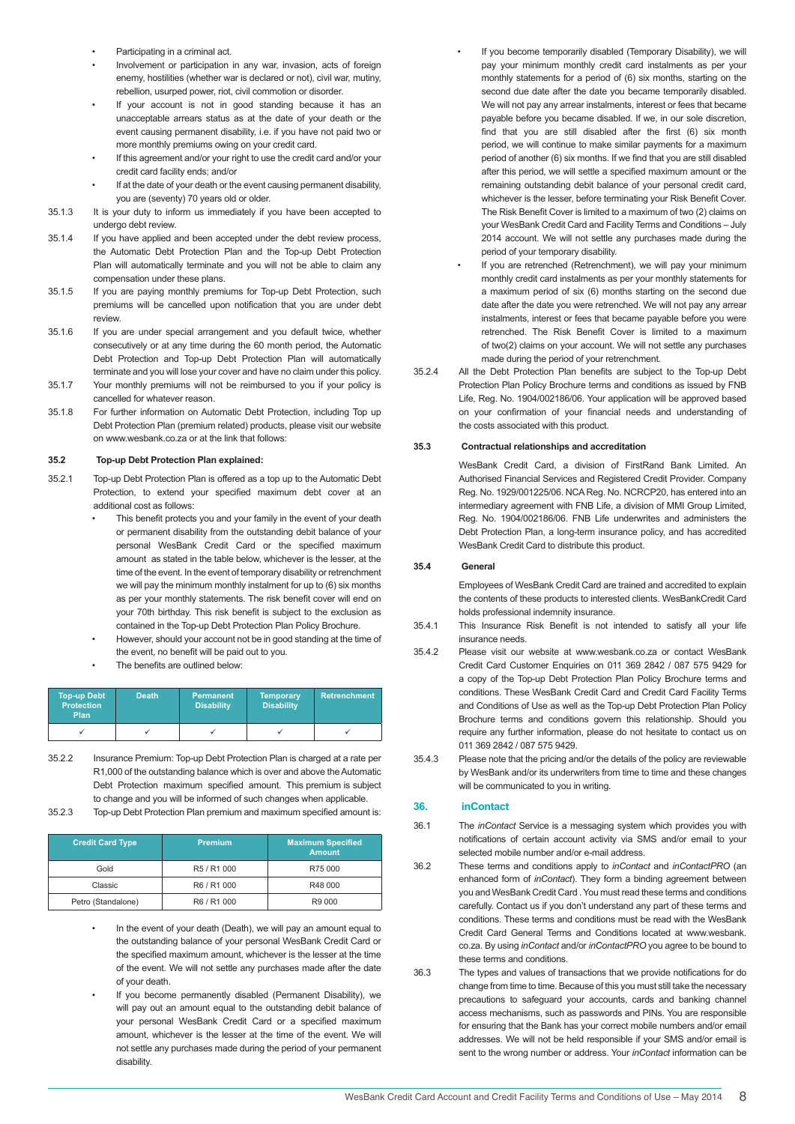- Participating in a criminal act.
- Involvement or participation in any war, invasion, acts of foreign enemy, hostilities (whether war is declared or not), civil war, mutiny, rebellion, usurped power, riot, civil commotion or disorder.
- If your account is not in good standing because it has an unacceptable arrears status as at the date of your death or the event causing permanent disability, i.e. if you have not paid two or more monthly premiums owing on your credit card.
- If this agreement and/or your right to use the credit card and/or your credit card facility ends; and/or
- If at the date of your death or the event causing permanent disability, you are (seventy) 70 years old or older.
- 35.1.3 It is your duty to inform us immediately if you have been accepted to undergo debt review.
- 35.1.4 If you have applied and been accepted under the debt review process, the Automatic Debt Protection Plan and the Top-up Debt Protection Plan will automatically terminate and you will not be able to claim any compensation under these plans.
- 35.1.5 If you are paying monthly premiums for Top-up Debt Protection, such premiums will be cancelled upon notification that you are under debt review.
- 35.1.6 If you are under special arrangement and you default twice, whether consecutively or at any time during the 60 month period, the Automatic Debt Protection and Top-up Debt Protection Plan will automatically terminate and you will lose your cover and have no claim under this policy.
- 35.1.7 Your monthly premiums will not be reimbursed to you if your policy is cancelled for whatever reason.
- 35.1.8 For further information on Automatic Debt Protection, including Top up Debt Protection Plan (premium related) products, please visit our website on www.wesbank.co.za or at the link that follows:

#### **35.2 Top-up Debt Protection Plan explained:**

- 35.2.1 Top-up Debt Protection Plan is offered as a top up to the Automatic Debt Protection, to extend your specified maximum debt cover at an additional cost as follows:
	- This benefit protects you and your family in the event of your death or permanent disability from the outstanding debit balance of your personal WesBank Credit Card or the specified maximum amount as stated in the table below, whichever is the lesser, at the time of the event. In the event of temporary disability or retrenchment we will pay the minimum monthly instalment for up to (6) six months as per your monthly statements. The risk benefit cover will end on your 70th birthday. This risk benefit is subject to the exclusion as contained in the Top-up Debt Protection Plan Policy Brochure.
	- However, should your account not be in good standing at the time of the event, no benefit will be paid out to you.
	- The benefits are outlined below:

| <b>Top-up Debt</b><br><b>Protection</b><br>Plan | <b>Death</b> | <b>Permanent</b><br><b>Disability</b> | <b>Temporary</b><br><b>Disability</b> | <b>Retrenchment</b> |
|-------------------------------------------------|--------------|---------------------------------------|---------------------------------------|---------------------|
|                                                 |              |                                       |                                       |                     |

- 35.2.2 Insurance Premium: Top-up Debt Protection Plan is charged at a rate per R1,000 of the outstanding balance which is over and above the Automatic Debt Protection maximum specified amount. This premium is subject to change and you will be informed of such changes when applicable.
- 35.2.3 Top-up Debt Protection Plan premium and maximum specified amount is:

| <b>Credit Card Type</b> | <b>Premium</b> | <b>Maximum Specified</b><br><b>Amount</b> |
|-------------------------|----------------|-------------------------------------------|
| Gold                    | R5 / R1 000    | R75 000                                   |
| Classic                 | R6 / R1 000    | R48 000                                   |
| Petro (Standalone)      | R6 / R1 000    | R9 000                                    |

- In the event of your death (Death), we will pay an amount equal to the outstanding balance of your personal WesBank Credit Card or the specified maximum amount, whichever is the lesser at the time of the event. We will not settle any purchases made after the date of your death.
- If you become permanently disabled (Permanent Disability), we will pay out an amount equal to the outstanding debit balance of your personal WesBank Credit Card or a specified maximum amount, whichever is the lesser at the time of the event. We will not settle any purchases made during the period of your permanent disability.
- If you become temporarily disabled (Temporary Disability), we will pay your minimum monthly credit card instalments as per your monthly statements for a period of (6) six months, starting on the second due date after the date you became temporarily disabled. We will not pay any arrear instalments, interest or fees that became payable before you became disabled. If we, in our sole discretion, find that you are still disabled after the first (6) six month period, we will continue to make similar payments for a maximum period of another (6) six months. If we find that you are still disabled after this period, we will settle a specified maximum amount or the remaining outstanding debit balance of your personal credit card, whichever is the lesser, before terminating your Risk Benefit Cover. The Risk Benefit Cover is limited to a maximum of two (2) claims on your WesBank Credit Card and Facility Terms and Conditions – July 2014 account. We will not settle any purchases made during the period of your temporary disability.
- If you are retrenched (Retrenchment), we will pay your minimum monthly credit card instalments as per your monthly statements for a maximum period of six (6) months starting on the second due date after the date you were retrenched. We will not pay any arrear instalments, interest or fees that became payable before you were retrenched. The Risk Benefit Cover is limited to a maximum of two(2) claims on your account. We will not settle any purchases made during the period of your retrenchment.
- 35.2.4 All the Debt Protection Plan benefits are subject to the Top-up Debt Protection Plan Policy Brochure terms and conditions as issued by FNB Life, Reg. No. 1904/002186/06. Your application will be approved based on your confirmation of your financial needs and understanding of the costs associated with this product.

### **35.3 Contractual relationships and accreditation**

WesBank Credit Card, a division of FirstRand Bank Limited. An Authorised Financial Services and Registered Credit Provider. Company Reg. No. 1929/001225/06. NCA Reg. No. NCRCP20, has entered into an intermediary agreement with FNB Life, a division of MMI Group Limited, Reg. No. 1904/002186/06. FNB Life underwrites and administers the Debt Protection Plan, a long-term insurance policy, and has accredited WesBank Credit Card to distribute this product.

### **35.4 General**

Employees of WesBank Credit Card are trained and accredited to explain the contents of these products to interested clients. WesBankCredit Card holds professional indemnity insurance.

- 35.4.1 This Insurance Risk Benefit is not intended to satisfy all your life insurance needs.
- 35.4.2 Please visit our website at www.wesbank.co.za or contact WesBank Credit Card Customer Enquiries on 011 369 2842 / 087 575 9429 for a copy of the Top-up Debt Protection Plan Policy Brochure terms and conditions. These WesBank Credit Card and Credit Card Facility Terms and Conditions of Use as well as the Top-up Debt Protection Plan Policy Brochure terms and conditions govern this relationship. Should you require any further information, please do not hesitate to contact us on 011 369 2842 / 087 575 9429.
- 35.4.3 Please note that the pricing and/or the details of the policy are reviewable by WesBank and/or its underwriters from time to time and these changes will be communicated to you in writing.

### **36. inContact**

- 36.1 The *inContact* Service is a messaging system which provides you with notifications of certain account activity via SMS and/or email to your selected mobile number and/or e-mail address.
- 36.2 These terms and conditions apply to *inContact* and *inContactPRO* (an enhanced form of *inContact*). They form a binding agreement between you and WesBank Credit Card . You must read these terms and conditions carefully. Contact us if you don't understand any part of these terms and conditions. These terms and conditions must be read with the WesBank Credit Card General Terms and Conditions located at www.wesbank. co.za. By using *inContact* and/or *inContactPRO* you agree to be bound to these terms and conditions.
- 36.3 The types and values of transactions that we provide notifications for do change from time to time. Because of this you must still take the necessary precautions to safeguard your accounts, cards and banking channel access mechanisms, such as passwords and PINs. You are responsible for ensuring that the Bank has your correct mobile numbers and/or email addresses. We will not be held responsible if your SMS and/or email is sent to the wrong number or address. Your *inContact* information can be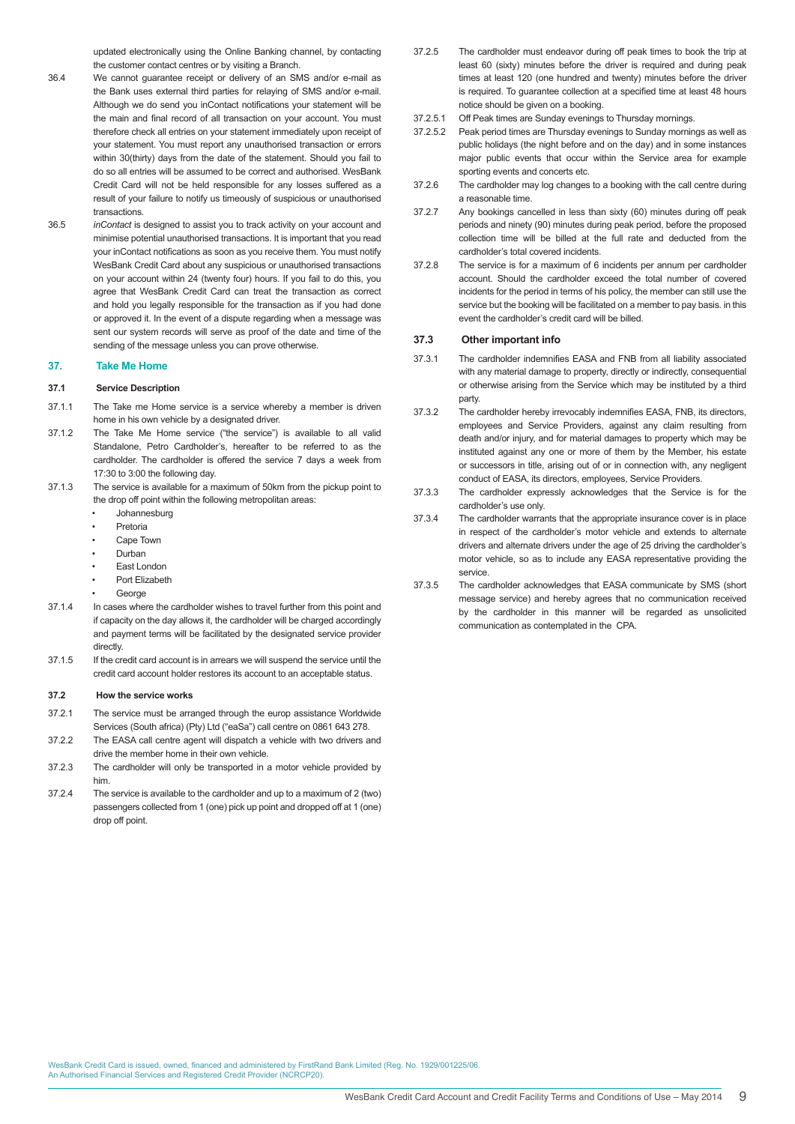updated electronically using the Online Banking channel, by contacting the customer contact centres or by visiting a Branch.

- 36.4 We cannot guarantee receipt or delivery of an SMS and/or e-mail as the Bank uses external third parties for relaying of SMS and/or e-mail. Although we do send you inContact notifications your statement will be the main and final record of all transaction on your account. You must therefore check all entries on your statement immediately upon receipt of your statement. You must report any unauthorised transaction or errors within 30(thirty) days from the date of the statement. Should you fail to do so all entries will be assumed to be correct and authorised. WesBank Credit Card will not be held responsible for any losses suffered as a result of your failure to notify us timeously of suspicious or unauthorised transactions.
- 36.5 *inContact* is designed to assist you to track activity on your account and minimise potential unauthorised transactions. It is important that you read your inContact notifications as soon as you receive them. You must notify WesBank Credit Card about any suspicious or unauthorised transactions on your account within 24 (twenty four) hours. If you fail to do this, you agree that WesBank Credit Card can treat the transaction as correct and hold you legally responsible for the transaction as if you had done or approved it. In the event of a dispute regarding when a message was sent our system records will serve as proof of the date and time of the sending of the message unless you can prove otherwise.

#### **37. Take Me Home**

#### **37.1 Service Description**

- 37.1.1 The Take me Home service is a service whereby a member is driven home in his own vehicle by a designated driver.
- 37.1.2 The Take Me Home service ("the service") is available to all valid Standalone, Petro Cardholder's, hereafter to be referred to as the cardholder. The cardholder is offered the service 7 days a week from 17:30 to 3:00 the following day.
- 37.1.3 The service is available for a maximum of 50km from the pickup point to the drop off point within the following metropolitan areas:
	- Johannesburg
	- Pretoria
	- Cape Town
	- Durban
	- **East London**
	- Port Elizabeth
	- George
- 37.1.4 In cases where the cardholder wishes to travel further from this point and if capacity on the day allows it, the cardholder will be charged accordingly and payment terms will be facilitated by the designated service provider directly.
- 37.1.5 If the credit card account is in arrears we will suspend the service until the credit card account holder restores its account to an acceptable status.

#### **37.2 How the service works**

- 37.2.1 The service must be arranged through the europ assistance Worldwide Services (South africa) (Pty) Ltd ("eaSa") call centre on 0861 643 278.
- 37.2.2 The EASA call centre agent will dispatch a vehicle with two drivers and drive the member home in their own vehicle.
- 37.2.3 The cardholder will only be transported in a motor vehicle provided by him.
- 37.2.4 The service is available to the cardholder and up to a maximum of 2 (two) passengers collected from 1 (one) pick up point and dropped off at 1 (one) drop off point.
- 37.2.5 The cardholder must endeavor during off peak times to book the trip at least 60 (sixty) minutes before the driver is required and during peak times at least 120 (one hundred and twenty) minutes before the driver is required. To guarantee collection at a specified time at least 48 hours notice should be given on a booking.
- 37.2.5.1 Off Peak times are Sunday evenings to Thursday mornings.
- 37.2.5.2 Peak period times are Thursday evenings to Sunday mornings as well as public holidays (the night before and on the day) and in some instances major public events that occur within the Service area for example sporting events and concerts etc.
- 37.2.6 The cardholder may log changes to a booking with the call centre during a reasonable time.
- 37.2.7 Any bookings cancelled in less than sixty (60) minutes during off peak periods and ninety (90) minutes during peak period, before the proposed collection time will be billed at the full rate and deducted from the cardholder's total covered incidents.
- 37.2.8 The service is for a maximum of 6 incidents per annum per cardholder account. Should the cardholder exceed the total number of covered incidents for the period in terms of his policy, the member can still use the service but the booking will be facilitated on a member to pay basis, in this event the cardholder's credit card will be billed.

#### **37.3 Other important info**

- 37.3.1 The cardholder indemnifies EASA and FNB from all liability associated with any material damage to property, directly or indirectly, consequential or otherwise arising from the Service which may be instituted by a third party.
- 37.3.2 The cardholder hereby irrevocably indemnifies EASA, FNB, its directors, employees and Service Providers, against any claim resulting from death and/or injury, and for material damages to property which may be instituted against any one or more of them by the Member, his estate or successors in title, arising out of or in connection with, any negligent conduct of EASA, its directors, employees, Service Providers.
- 37.3.3 The cardholder expressly acknowledges that the Service is for the cardholder's use only.
- 37.3.4 The cardholder warrants that the appropriate insurance cover is in place in respect of the cardholder's motor vehicle and extends to alternate drivers and alternate drivers under the age of 25 driving the cardholder's motor vehicle, so as to include any EASA representative providing the service.
- 37.3.5 The cardholder acknowledges that EASA communicate by SMS (short message service) and hereby agrees that no communication received by the cardholder in this manner will be regarded as unsolicited communication as contemplated in the CPA.

WesBank Credit Card is issued, owned, financed and administered by FirstRand Bank Limited (Reg. No. 1929/001225/06. An Authorised Financial Services and Registered Credit Provider (NCRCP20).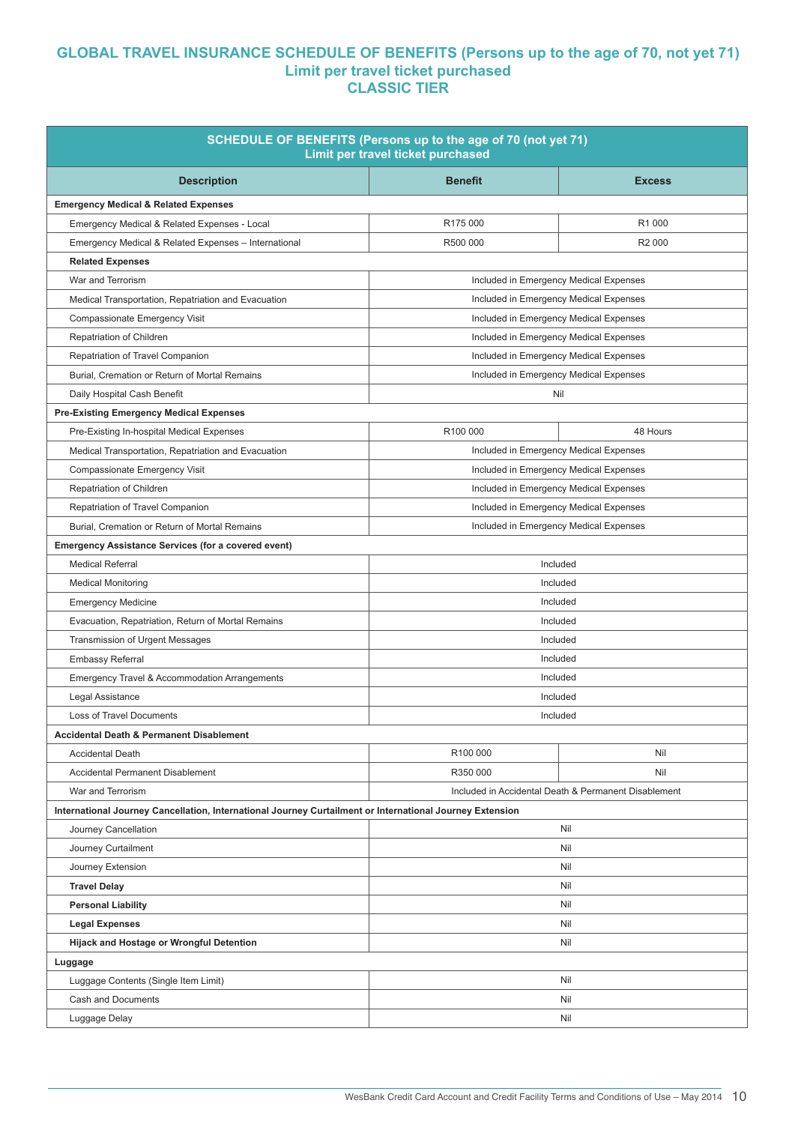# **GLOBAL TRAVEL INSURANCE SCHEDULE OF BENEFITS (Persons up to the age of 70, not yet 71) Limit per travel ticket purchased CLASSIC TIER**

| SCHEDULE OF BENEFITS (Persons up to the age of 70 (not yet 71)<br>Limit per travel ticket purchased      |                                        |                                                      |  |  |  |
|----------------------------------------------------------------------------------------------------------|----------------------------------------|------------------------------------------------------|--|--|--|
| <b>Description</b>                                                                                       | <b>Benefit</b>                         | <b>Excess</b>                                        |  |  |  |
| <b>Emergency Medical &amp; Related Expenses</b>                                                          |                                        |                                                      |  |  |  |
| Emergency Medical & Related Expenses - Local                                                             | R175 000<br>R <sub>1</sub> 000         |                                                      |  |  |  |
| Emergency Medical & Related Expenses - International                                                     | R500 000                               | R <sub>2</sub> 000                                   |  |  |  |
| <b>Related Expenses</b>                                                                                  |                                        |                                                      |  |  |  |
| War and Terrorism                                                                                        | Included in Emergency Medical Expenses |                                                      |  |  |  |
| Medical Transportation, Repatriation and Evacuation                                                      | Included in Emergency Medical Expenses |                                                      |  |  |  |
| Compassionate Emergency Visit                                                                            | Included in Emergency Medical Expenses |                                                      |  |  |  |
| Repatriation of Children                                                                                 | Included in Emergency Medical Expenses |                                                      |  |  |  |
| Repatriation of Travel Companion                                                                         | Included in Emergency Medical Expenses |                                                      |  |  |  |
| Burial, Cremation or Return of Mortal Remains                                                            | Included in Emergency Medical Expenses |                                                      |  |  |  |
| Daily Hospital Cash Benefit                                                                              |                                        | Nil                                                  |  |  |  |
| <b>Pre-Existing Emergency Medical Expenses</b>                                                           |                                        |                                                      |  |  |  |
| Pre-Existing In-hospital Medical Expenses                                                                | R100 000                               | 48 Hours                                             |  |  |  |
| Medical Transportation, Repatriation and Evacuation                                                      |                                        | Included in Emergency Medical Expenses               |  |  |  |
| Compassionate Emergency Visit                                                                            | Included in Emergency Medical Expenses |                                                      |  |  |  |
| Repatriation of Children                                                                                 | Included in Emergency Medical Expenses |                                                      |  |  |  |
| Repatriation of Travel Companion                                                                         | Included in Emergency Medical Expenses |                                                      |  |  |  |
| Burial, Cremation or Return of Mortal Remains                                                            | Included in Emergency Medical Expenses |                                                      |  |  |  |
| <b>Emergency Assistance Services (for a covered event)</b>                                               |                                        |                                                      |  |  |  |
| <b>Medical Referral</b><br>Included                                                                      |                                        |                                                      |  |  |  |
| <b>Medical Monitoring</b>                                                                                | Included                               |                                                      |  |  |  |
| <b>Emergency Medicine</b>                                                                                | Included                               |                                                      |  |  |  |
| Evacuation, Repatriation, Return of Mortal Remains                                                       |                                        | Included                                             |  |  |  |
| <b>Transmission of Urgent Messages</b>                                                                   | Included                               |                                                      |  |  |  |
| <b>Embassy Referral</b>                                                                                  | Included                               |                                                      |  |  |  |
| <b>Emergency Travel &amp; Accommodation Arrangements</b>                                                 | Included                               |                                                      |  |  |  |
| Legal Assistance                                                                                         | Included                               |                                                      |  |  |  |
| <b>Loss of Travel Documents</b>                                                                          |                                        | Included                                             |  |  |  |
| <b>Accidental Death &amp; Permanent Disablement</b>                                                      |                                        |                                                      |  |  |  |
| <b>Accidental Death</b>                                                                                  | R100 000                               | Nil                                                  |  |  |  |
| <b>Accidental Permanent Disablement</b>                                                                  | R350 000                               | Nil                                                  |  |  |  |
| War and Terrorism                                                                                        |                                        | Included in Accidental Death & Permanent Disablement |  |  |  |
| International Journey Cancellation, International Journey Curtailment or International Journey Extension |                                        |                                                      |  |  |  |
| Journey Cancellation                                                                                     | Nil                                    |                                                      |  |  |  |
| Journey Curtailment                                                                                      | Nil                                    |                                                      |  |  |  |
| Journey Extension                                                                                        | Nil                                    |                                                      |  |  |  |
| <b>Travel Delay</b>                                                                                      |                                        | Nil                                                  |  |  |  |
| <b>Personal Liability</b>                                                                                | Nil                                    |                                                      |  |  |  |
| <b>Legal Expenses</b>                                                                                    | Nil                                    |                                                      |  |  |  |
| Hijack and Hostage or Wrongful Detention                                                                 | Nil                                    |                                                      |  |  |  |
| Luggage                                                                                                  |                                        |                                                      |  |  |  |
| Luggage Contents (Single Item Limit)                                                                     |                                        | Nil                                                  |  |  |  |
| Cash and Documents                                                                                       | Nil                                    |                                                      |  |  |  |
| Luggage Delay                                                                                            |                                        | Nil                                                  |  |  |  |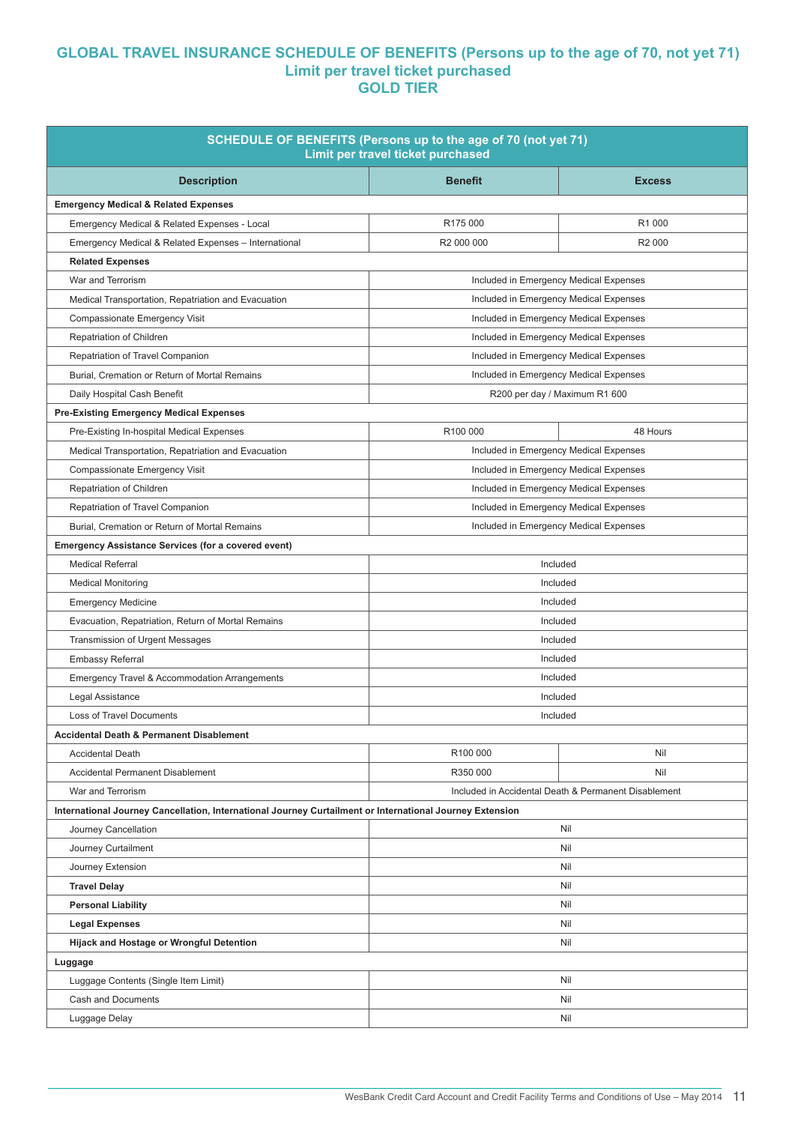# **GLOBAL TRAVEL INSURANCE SCHEDULE OF BENEFITS (Persons up to the age of 70, not yet 71) Limit per travel ticket purchased GOLD TIER**

| SCHEDULE OF BENEFITS (Persons up to the age of 70 (not yet 71)<br>Limit per travel ticket purchased      |                                        |                                                      |  |  |  |
|----------------------------------------------------------------------------------------------------------|----------------------------------------|------------------------------------------------------|--|--|--|
| <b>Description</b>                                                                                       | <b>Benefit</b>                         | <b>Excess</b>                                        |  |  |  |
| <b>Emergency Medical &amp; Related Expenses</b>                                                          |                                        |                                                      |  |  |  |
| Emergency Medical & Related Expenses - Local                                                             | R175 000                               | R <sub>1</sub> 000                                   |  |  |  |
| Emergency Medical & Related Expenses - International                                                     | R2 000 000                             | R <sub>2</sub> 000                                   |  |  |  |
| <b>Related Expenses</b>                                                                                  |                                        |                                                      |  |  |  |
| War and Terrorism                                                                                        | Included in Emergency Medical Expenses |                                                      |  |  |  |
| Medical Transportation, Repatriation and Evacuation                                                      | Included in Emergency Medical Expenses |                                                      |  |  |  |
| Compassionate Emergency Visit                                                                            | Included in Emergency Medical Expenses |                                                      |  |  |  |
| Repatriation of Children                                                                                 | Included in Emergency Medical Expenses |                                                      |  |  |  |
| Repatriation of Travel Companion                                                                         | Included in Emergency Medical Expenses |                                                      |  |  |  |
| Burial, Cremation or Return of Mortal Remains                                                            | Included in Emergency Medical Expenses |                                                      |  |  |  |
| Daily Hospital Cash Benefit                                                                              |                                        | R200 per day / Maximum R1 600                        |  |  |  |
| <b>Pre-Existing Emergency Medical Expenses</b>                                                           |                                        |                                                      |  |  |  |
| Pre-Existing In-hospital Medical Expenses                                                                | R100 000                               | 48 Hours                                             |  |  |  |
| Medical Transportation, Repatriation and Evacuation                                                      |                                        | Included in Emergency Medical Expenses               |  |  |  |
| Compassionate Emergency Visit                                                                            | Included in Emergency Medical Expenses |                                                      |  |  |  |
| Repatriation of Children                                                                                 | Included in Emergency Medical Expenses |                                                      |  |  |  |
| Repatriation of Travel Companion                                                                         | Included in Emergency Medical Expenses |                                                      |  |  |  |
| Burial, Cremation or Return of Mortal Remains                                                            | Included in Emergency Medical Expenses |                                                      |  |  |  |
| <b>Emergency Assistance Services (for a covered event)</b>                                               |                                        |                                                      |  |  |  |
| <b>Medical Referral</b>                                                                                  |                                        | Included                                             |  |  |  |
| <b>Medical Monitoring</b>                                                                                | Included                               |                                                      |  |  |  |
| <b>Emergency Medicine</b>                                                                                | Included                               |                                                      |  |  |  |
| Evacuation, Repatriation, Return of Mortal Remains                                                       | Included                               |                                                      |  |  |  |
| <b>Transmission of Urgent Messages</b>                                                                   | Included                               |                                                      |  |  |  |
| <b>Embassy Referral</b>                                                                                  | Included                               |                                                      |  |  |  |
| <b>Emergency Travel &amp; Accommodation Arrangements</b>                                                 | Included                               |                                                      |  |  |  |
| Legal Assistance                                                                                         | Included                               |                                                      |  |  |  |
| <b>Loss of Travel Documents</b>                                                                          | Included                               |                                                      |  |  |  |
| <b>Accidental Death &amp; Permanent Disablement</b>                                                      |                                        |                                                      |  |  |  |
| <b>Accidental Death</b>                                                                                  | R100 000                               | Nil                                                  |  |  |  |
| <b>Accidental Permanent Disablement</b>                                                                  | R350 000                               | Nil                                                  |  |  |  |
| War and Terrorism                                                                                        |                                        | Included in Accidental Death & Permanent Disablement |  |  |  |
| International Journey Cancellation, International Journey Curtailment or International Journey Extension |                                        |                                                      |  |  |  |
| Journey Cancellation                                                                                     |                                        | Nil                                                  |  |  |  |
| Journey Curtailment                                                                                      | Nil                                    |                                                      |  |  |  |
| Journey Extension                                                                                        | Nil                                    |                                                      |  |  |  |
| <b>Travel Delay</b>                                                                                      | Nil                                    |                                                      |  |  |  |
| <b>Personal Liability</b>                                                                                | Nil                                    |                                                      |  |  |  |
| <b>Legal Expenses</b>                                                                                    | Nil                                    |                                                      |  |  |  |
| Hijack and Hostage or Wrongful Detention                                                                 | Nil                                    |                                                      |  |  |  |
| Luggage                                                                                                  |                                        |                                                      |  |  |  |
| Luggage Contents (Single Item Limit)                                                                     |                                        | Nil                                                  |  |  |  |
| Cash and Documents                                                                                       |                                        | Nil                                                  |  |  |  |
| Luggage Delay                                                                                            |                                        | Nil                                                  |  |  |  |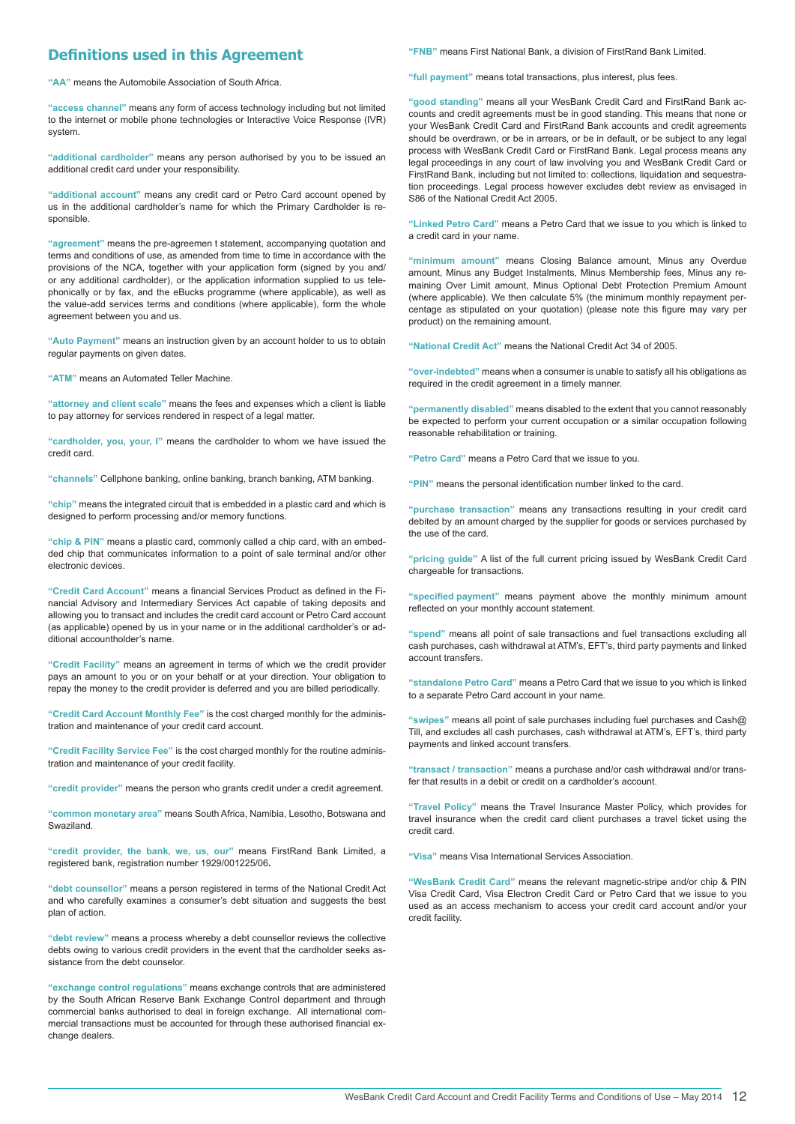## **Definitions used in this Agreement**

**"AA"** means the Automobile Association of South Africa.

**"access channel"** means any form of access technology including but not limited to the internet or mobile phone technologies or Interactive Voice Response (IVR) system.

**"additional cardholder"** means any person authorised by you to be issued an additional credit card under your responsibility.

**"additional account"** means any credit card or Petro Card account opened by us in the additional cardholder's name for which the Primary Cardholder is responsible.

**"agreement"** means the pre-agreemen t statement, accompanying quotation and terms and conditions of use, as amended from time to time in accordance with the provisions of the NCA, together with your application form (signed by you and/ or any additional cardholder), or the application information supplied to us telephonically or by fax, and the eBucks programme (where applicable), as well as the value-add services terms and conditions (where applicable), form the whole agreement between you and us.

**"Auto Payment"** means an instruction given by an account holder to us to obtain regular payments on given dates.

**"ATM"** means an Automated Teller Machine.

**"attorney and client scale"** means the fees and expenses which a client is liable to pay attorney for services rendered in respect of a legal matter.

**"cardholder, you, your, I"** means the cardholder to whom we have issued the credit card.

**"channels"** Cellphone banking, online banking, branch banking, ATM banking.

**"chip"** means the integrated circuit that is embedded in a plastic card and which is designed to perform processing and/or memory functions.

**"chip & PIN"** means a plastic card, commonly called a chip card, with an embedded chip that communicates information to a point of sale terminal and/or other electronic devices.

**"Credit Card Account"** means a financial Services Product as defined in the Financial Advisory and Intermediary Services Act capable of taking deposits and allowing you to transact and includes the credit card account or Petro Card account (as applicable) opened by us in your name or in the additional cardholder's or additional accountholder's name.

**"Credit Facility"** means an agreement in terms of which we the credit provider pays an amount to you or on your behalf or at your direction. Your obligation to repay the money to the credit provider is deferred and you are billed periodically.

**"Credit Card Account Monthly Fee"** is the cost charged monthly for the administration and maintenance of your credit card account.

**"Credit Facility Service Fee"** is the cost charged monthly for the routine administration and maintenance of your credit facility.

**"credit provider"** means the person who grants credit under a credit agreement.

**"common monetary area"** means South Africa, Namibia, Lesotho, Botswana and Swaziland.

**"credit provider, the bank, we, us, our"** means FirstRand Bank Limited, a registered bank, registration number 1929/001225/06**.**

**"debt counsellor"** means a person registered in terms of the National Credit Act and who carefully examines a consumer's debt situation and suggests the best plan of action.

**"debt review"** means a process whereby a debt counsellor reviews the collective debts owing to various credit providers in the event that the cardholder seeks assistance from the debt counselor.

**"exchange control regulations"** means exchange controls that are administered by the South African Reserve Bank Exchange Control department and through commercial banks authorised to deal in foreign exchange. All international commercial transactions must be accounted for through these authorised financial exchange dealers.

**"FNB"** means First National Bank, a division of FirstRand Bank Limited.

**"full payment"** means total transactions, plus interest, plus fees.

**"good standing"** means all your WesBank Credit Card and FirstRand Bank accounts and credit agreements must be in good standing. This means that none or your WesBank Credit Card and FirstRand Bank accounts and credit agreements should be overdrawn, or be in arrears, or be in default, or be subject to any legal process with WesBank Credit Card or FirstRand Bank. Legal process means any legal proceedings in any court of law involving you and WesBank Credit Card or FirstRand Bank, including but not limited to: collections, liquidation and sequestration proceedings. Legal process however excludes debt review as envisaged in S86 of the National Credit Act 2005.

**"Linked Petro Card"** means a Petro Card that we issue to you which is linked to a credit card in your name.

**"minimum amount"** means Closing Balance amount, Minus any Overdue amount, Minus any Budget Instalments, Minus Membership fees, Minus any remaining Over Limit amount, Minus Optional Debt Protection Premium Amount (where applicable). We then calculate 5% (the minimum monthly repayment percentage as stipulated on your quotation) (please note this figure may vary per product) on the remaining amount.

**"National Credit Act"** means the National Credit Act 34 of 2005.

**"over-indebted"** means when a consumer is unable to satisfy all his obligations as required in the credit agreement in a timely manner.

**"permanently disabled"** means disabled to the extent that you cannot reasonably be expected to perform your current occupation or a similar occupation following reasonable rehabilitation or training.

**"Petro Card"** means a Petro Card that we issue to you.

**"PIN"** means the personal identification number linked to the card.

**"purchase transaction"** means any transactions resulting in your credit card debited by an amount charged by the supplier for goods or services purchased by the use of the card.

**"pricing guide"** A list of the full current pricing issued by WesBank Credit Card chargeable for transactions.

**"specified payment"**  means payment above the monthly minimum amount reflected on your monthly account statement.

**"spend"** means all point of sale transactions and fuel transactions excluding all cash purchases, cash withdrawal at ATM's, EFT's, third party payments and linked account transfers.

**"standalone Petro Card"** means a Petro Card that we issue to you which is linked to a separate Petro Card account in your name.

**"swipes"** means all point of sale purchases including fuel purchases and Cash@ Till, and excludes all cash purchases, cash withdrawal at ATM's, EFT's, third party payments and linked account transfers.

**"transact / transaction"** means a purchase and/or cash withdrawal and/or transfer that results in a debit or credit on a cardholder's account.

**"Travel Policy"** means the Travel Insurance Master Policy, which provides for travel insurance when the credit card client purchases a travel ticket using the credit card.

**"Visa"** means Visa International Services Association.

**"WesBank Credit Card"** means the relevant magnetic-stripe and/or chip & PIN Visa Credit Card, Visa Electron Credit Card or Petro Card that we issue to you used as an access mechanism to access your credit card account and/or your credit facility.